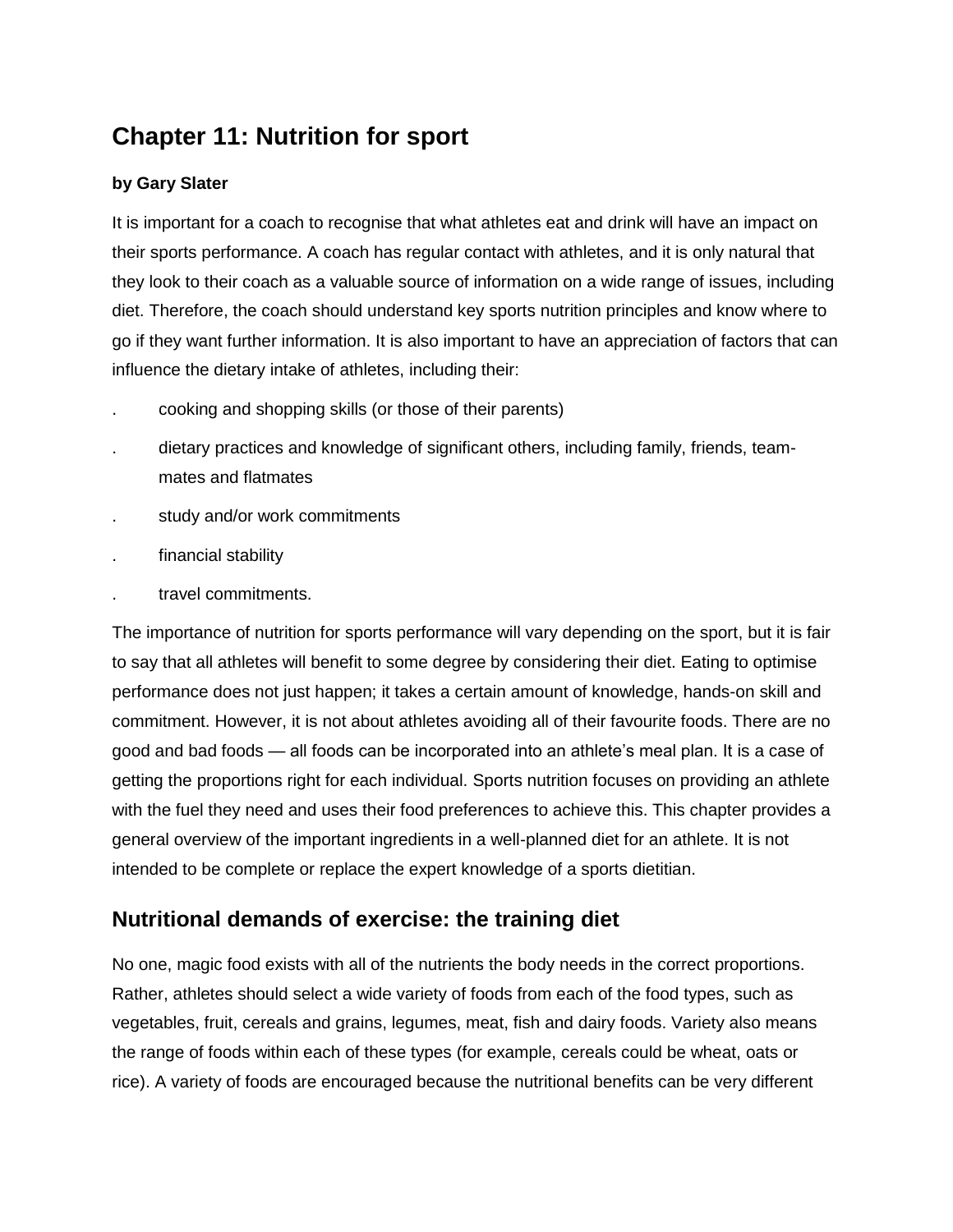# **Chapter 11: Nutrition for sport**

### **by Gary Slater**

It is important for a coach to recognise that what athletes eat and drink will have an impact on their sports performance. A coach has regular contact with athletes, and it is only natural that they look to their coach as a valuable source of information on a wide range of issues, including diet. Therefore, the coach should understand key sports nutrition principles and know where to go if they want further information. It is also important to have an appreciation of factors that can influence the dietary intake of athletes, including their:

- . cooking and shopping skills (or those of their parents)
- . dietary practices and knowledge of significant others, including family, friends, teammates and flatmates
- . study and/or work commitments
- . financial stability
- . travel commitments.

The importance of nutrition for sports performance will vary depending on the sport, but it is fair to say that all athletes will benefit to some degree by considering their diet. Eating to optimise performance does not just happen; it takes a certain amount of knowledge, hands-on skill and commitment. However, it is not about athletes avoiding all of their favourite foods. There are no good and bad foods — all foods can be incorporated into an athlete's meal plan. It is a case of getting the proportions right for each individual. Sports nutrition focuses on providing an athlete with the fuel they need and uses their food preferences to achieve this. This chapter provides a general overview of the important ingredients in a well-planned diet for an athlete. It is not intended to be complete or replace the expert knowledge of a sports dietitian.

### **Nutritional demands of exercise: the training diet**

No one, magic food exists with all of the nutrients the body needs in the correct proportions. Rather, athletes should select a wide variety of foods from each of the food types, such as vegetables, fruit, cereals and grains, legumes, meat, fish and dairy foods. Variety also means the range of foods within each of these types (for example, cereals could be wheat, oats or rice). A variety of foods are encouraged because the nutritional benefits can be very different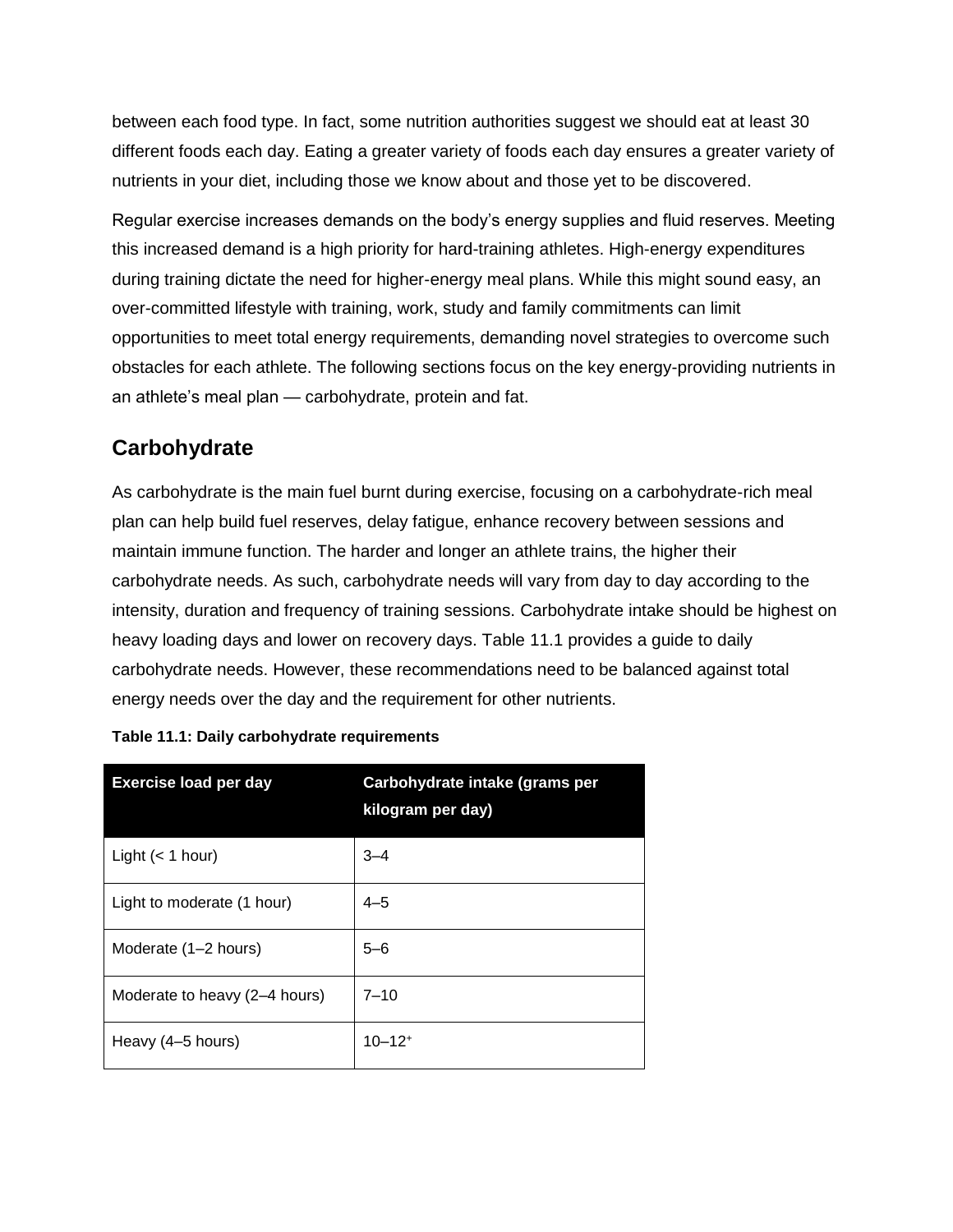between each food type. In fact, some nutrition authorities suggest we should eat at least 30 different foods each day. Eating a greater variety of foods each day ensures a greater variety of nutrients in your diet, including those we know about and those yet to be discovered.

Regular exercise increases demands on the body's energy supplies and fluid reserves. Meeting this increased demand is a high priority for hard-training athletes. High-energy expenditures during training dictate the need for higher-energy meal plans. While this might sound easy, an over-committed lifestyle with training, work, study and family commitments can limit opportunities to meet total energy requirements, demanding novel strategies to overcome such obstacles for each athlete. The following sections focus on the key energy-providing nutrients in an athlete's meal plan — carbohydrate, protein and fat.

## **Carbohydrate**

As carbohydrate is the main fuel burnt during exercise, focusing on a carbohydrate-rich meal plan can help build fuel reserves, delay fatigue, enhance recovery between sessions and maintain immune function. The harder and longer an athlete trains, the higher their carbohydrate needs. As such, carbohydrate needs will vary from day to day according to the intensity, duration and frequency of training sessions. Carbohydrate intake should be highest on heavy loading days and lower on recovery days. Table 11.1 provides a guide to daily carbohydrate needs. However, these recommendations need to be balanced against total energy needs over the day and the requirement for other nutrients.

| <b>Exercise load per day</b>  | Carbohydrate intake (grams per<br>kilogram per day) |
|-------------------------------|-----------------------------------------------------|
| Light $(< 1$ hour)            | $3 - 4$                                             |
| Light to moderate (1 hour)    | $4 - 5$                                             |
| Moderate (1-2 hours)          | $5 - 6$                                             |
| Moderate to heavy (2-4 hours) | $7 - 10$                                            |
| Heavy (4–5 hours)             | $10 - 12$ <sup>+</sup>                              |

| Table 11.1: Daily carbohydrate requirements |
|---------------------------------------------|
|---------------------------------------------|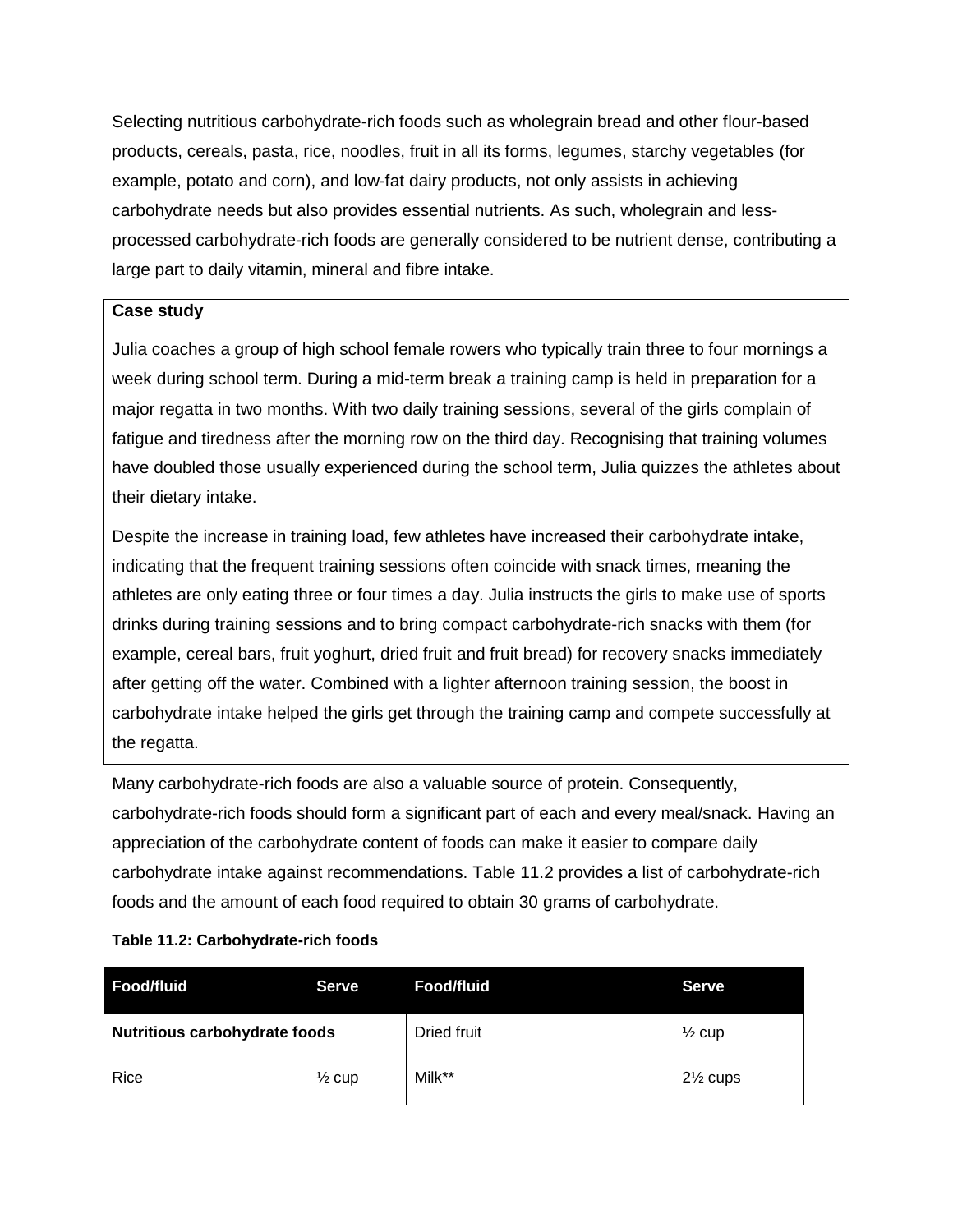Selecting nutritious carbohydrate-rich foods such as wholegrain bread and other flour-based products, cereals, pasta, rice, noodles, fruit in all its forms, legumes, starchy vegetables (for example, potato and corn), and low-fat dairy products, not only assists in achieving carbohydrate needs but also provides essential nutrients. As such, wholegrain and lessprocessed carbohydrate-rich foods are generally considered to be nutrient dense, contributing a large part to daily vitamin, mineral and fibre intake.

### **Case study**

Julia coaches a group of high school female rowers who typically train three to four mornings a week during school term. During a mid-term break a training camp is held in preparation for a major regatta in two months. With two daily training sessions, several of the girls complain of fatigue and tiredness after the morning row on the third day. Recognising that training volumes have doubled those usually experienced during the school term, Julia quizzes the athletes about their dietary intake.

Despite the increase in training load, few athletes have increased their carbohydrate intake, indicating that the frequent training sessions often coincide with snack times, meaning the athletes are only eating three or four times a day. Julia instructs the girls to make use of sports drinks during training sessions and to bring compact carbohydrate-rich snacks with them (for example, cereal bars, fruit yoghurt, dried fruit and fruit bread) for recovery snacks immediately after getting off the water. Combined with a lighter afternoon training session, the boost in carbohydrate intake helped the girls get through the training camp and compete successfully at the regatta.

Many carbohydrate-rich foods are also a valuable source of protein. Consequently, carbohydrate-rich foods should form a significant part of each and every meal/snack. Having an appreciation of the carbohydrate content of foods can make it easier to compare daily carbohydrate intake against recommendations. Table 11.2 provides a list of carbohydrate-rich foods and the amount of each food required to obtain 30 grams of carbohydrate.

#### **Table 11.2: Carbohydrate-rich foods**

| <b>Food/fluid</b>                    | <b>Serve</b>      | Food/fluid         | <b>Serve</b>        |
|--------------------------------------|-------------------|--------------------|---------------------|
| <b>Nutritious carbohydrate foods</b> |                   | <b>Dried fruit</b> | $\frac{1}{2}$ cup   |
| Rice                                 | $\frac{1}{2}$ cup | Milk**             | $2\frac{1}{2}$ cups |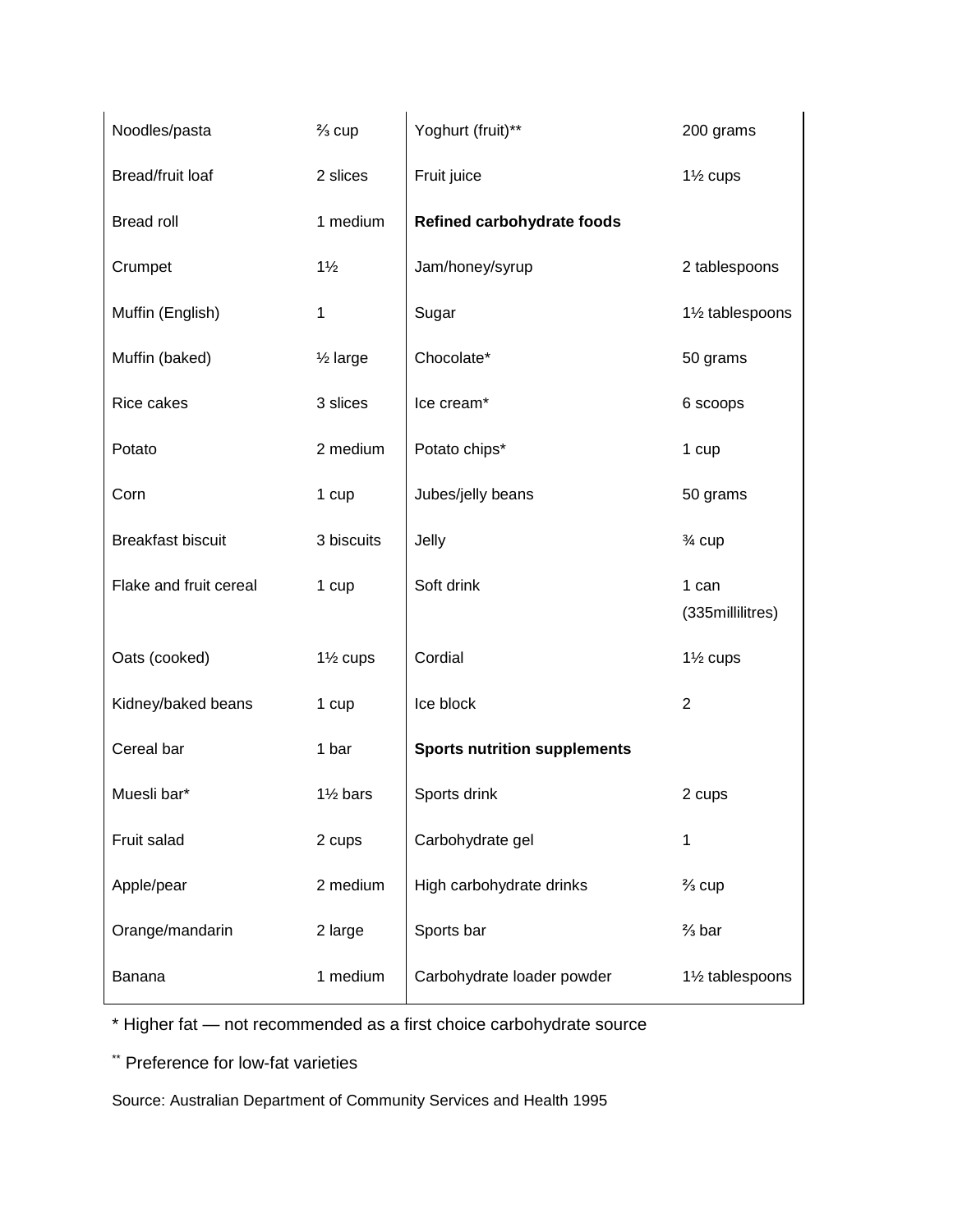| Noodles/pasta            | $\frac{2}{3}$ cup   | Yoghurt (fruit)**                   | 200 grams                    |
|--------------------------|---------------------|-------------------------------------|------------------------------|
| Bread/fruit loaf         | 2 slices            | Fruit juice                         | $1\frac{1}{2}$ cups          |
| <b>Bread roll</b>        | 1 medium            | <b>Refined carbohydrate foods</b>   |                              |
| Crumpet                  | $1\frac{1}{2}$      | Jam/honey/syrup                     | 2 tablespoons                |
| Muffin (English)         | 1                   | Sugar                               | 11/ <sub>2</sub> tablespoons |
| Muffin (baked)           | $\frac{1}{2}$ large | Chocolate*                          | 50 grams                     |
| Rice cakes               | 3 slices            | Ice cream*                          | 6 scoops                     |
| Potato                   | 2 medium            | Potato chips*                       | 1 cup                        |
| Corn                     | 1 cup               | Jubes/jelly beans                   | 50 grams                     |
| <b>Breakfast biscuit</b> | 3 biscuits          | Jelly                               | $\frac{3}{4}$ cup            |
| Flake and fruit cereal   | 1 cup               | Soft drink                          | 1 can<br>(335millilitres)    |
| Oats (cooked)            | $1\frac{1}{2}$ cups | Cordial                             | 1 <sup>1/2</sup> cups        |
| Kidney/baked beans       | 1 cup               | Ice block                           | $\overline{2}$               |
| Cereal bar               | 1 bar               | <b>Sports nutrition supplements</b> |                              |
| Muesli bar*              | $1\frac{1}{2}$ bars | Sports drink                        | 2 cups                       |
| Fruit salad              | 2 cups              | Carbohydrate gel                    | 1                            |
| Apple/pear               | 2 medium            | High carbohydrate drinks            | $\frac{2}{3}$ cup            |
| Orange/mandarin          | 2 large             | Sports bar                          | $\frac{2}{3}$ bar            |
| Banana                   | 1 medium            | Carbohydrate loader powder          | 11/ <sub>2</sub> tablespoons |

\* Higher fat — not recommended as a first choice carbohydrate source

\*\* Preference for low-fat varieties

Source: Australian Department of Community Services and Health 1995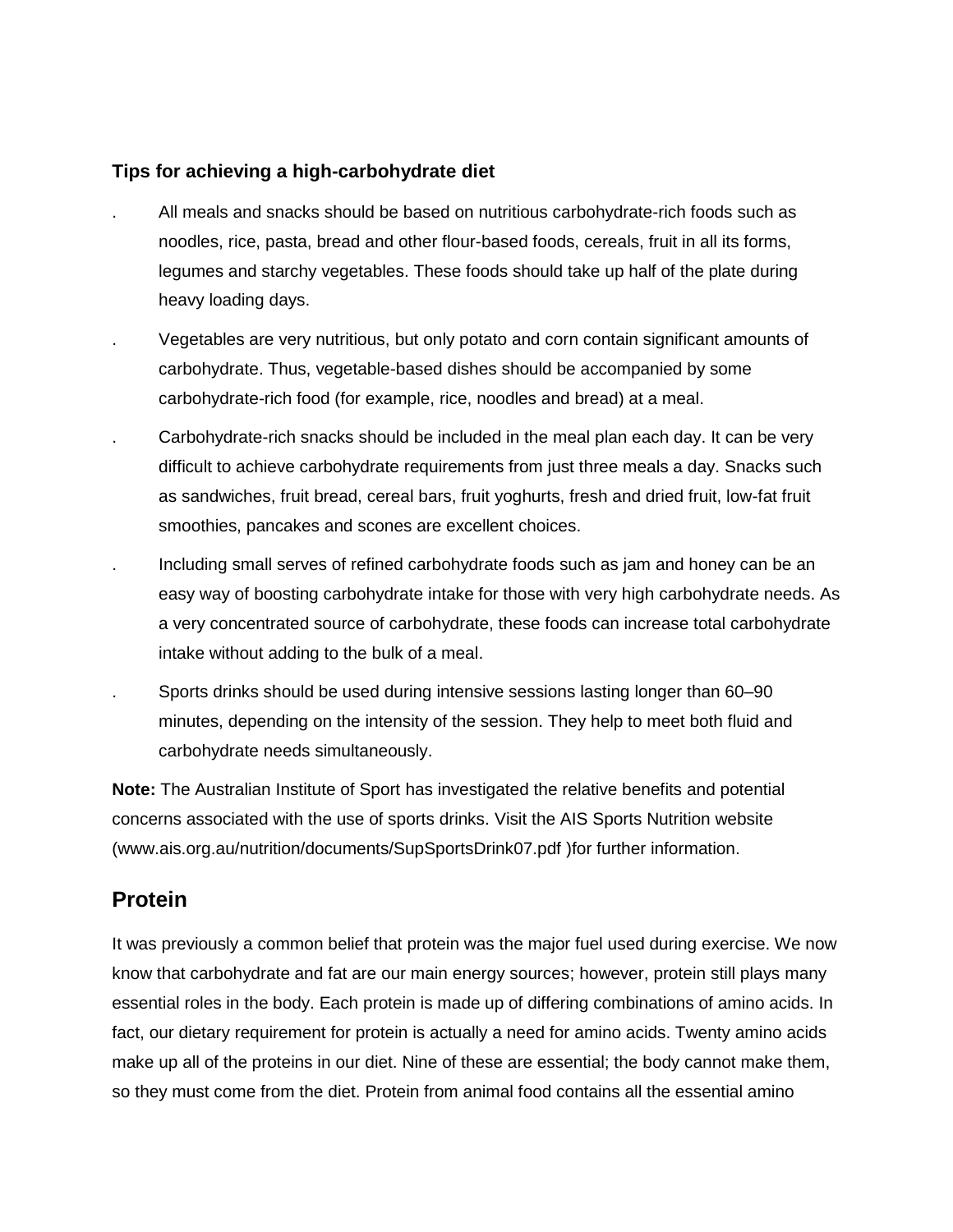### **Tips for achieving a high-carbohydrate diet**

- . All meals and snacks should be based on nutritious carbohydrate-rich foods such as noodles, rice, pasta, bread and other flour-based foods, cereals, fruit in all its forms, legumes and starchy vegetables. These foods should take up half of the plate during heavy loading days.
- . Vegetables are very nutritious, but only potato and corn contain significant amounts of carbohydrate. Thus, vegetable-based dishes should be accompanied by some carbohydrate-rich food (for example, rice, noodles and bread) at a meal.
- . Carbohydrate-rich snacks should be included in the meal plan each day. It can be very difficult to achieve carbohydrate requirements from just three meals a day. Snacks such as sandwiches, fruit bread, cereal bars, fruit yoghurts, fresh and dried fruit, low-fat fruit smoothies, pancakes and scones are excellent choices.
- . Including small serves of refined carbohydrate foods such as jam and honey can be an easy way of boosting carbohydrate intake for those with very high carbohydrate needs. As a very concentrated source of carbohydrate, these foods can increase total carbohydrate intake without adding to the bulk of a meal.
- . Sports drinks should be used during intensive sessions lasting longer than 60–90 minutes, depending on the intensity of the session. They help to meet both fluid and carbohydrate needs simultaneously.

**Note:** The Australian Institute of Sport has investigated the relative benefits and potential concerns associated with the use of sports drinks. Visit the AIS Sports Nutrition website (www.ais.org.au/nutrition/documents/SupSportsDrink07.pdf )for further information.

## **Protein**

It was previously a common belief that protein was the major fuel used during exercise. We now know that carbohydrate and fat are our main energy sources; however, protein still plays many essential roles in the body. Each protein is made up of differing combinations of amino acids. In fact, our dietary requirement for protein is actually a need for amino acids. Twenty amino acids make up all of the proteins in our diet. Nine of these are essential; the body cannot make them, so they must come from the diet. Protein from animal food contains all the essential amino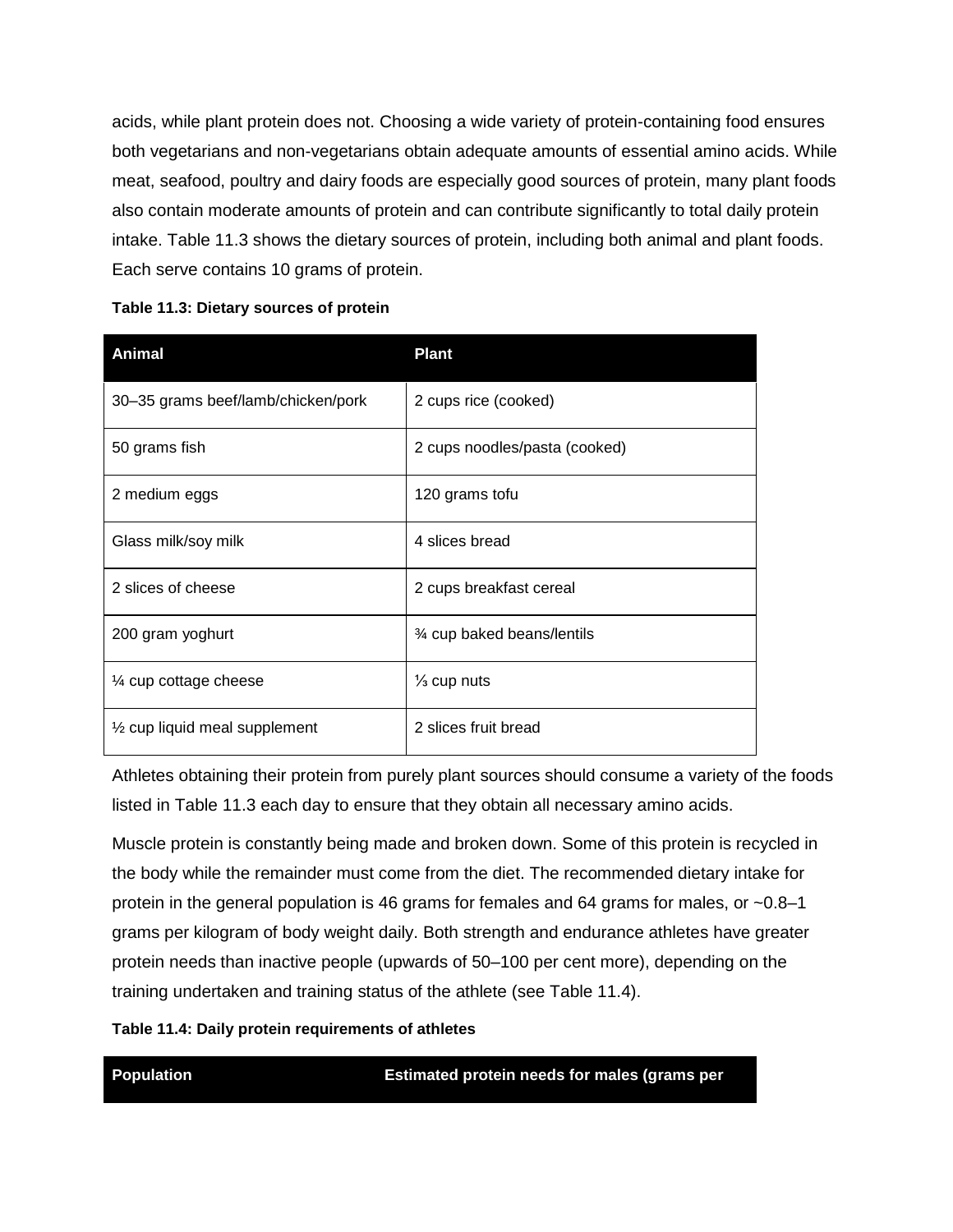acids, while plant protein does not. Choosing a wide variety of protein-containing food ensures both vegetarians and non-vegetarians obtain adequate amounts of essential amino acids. While meat, seafood, poultry and dairy foods are especially good sources of protein, many plant foods also contain moderate amounts of protein and can contribute significantly to total daily protein intake. Table 11.3 shows the dietary sources of protein, including both animal and plant foods. Each serve contains 10 grams of protein.

| <b>Animal</b>                            | <b>Plant</b>                     |
|------------------------------------------|----------------------------------|
| 30-35 grams beef/lamb/chicken/pork       | 2 cups rice (cooked)             |
| 50 grams fish                            | 2 cups noodles/pasta (cooked)    |
| 2 medium eggs                            | 120 grams tofu                   |
| Glass milk/soy milk                      | 4 slices bread                   |
| 2 slices of cheese                       | 2 cups breakfast cereal          |
| 200 gram yoghurt                         | <b>%</b> cup baked beans/lentils |
| 1/4 cup cottage cheese                   | $\frac{1}{3}$ cup nuts           |
| $\frac{1}{2}$ cup liquid meal supplement | 2 slices fruit bread             |

**Table 11.3: Dietary sources of protein**

Athletes obtaining their protein from purely plant sources should consume a variety of the foods listed in Table 11.3 each day to ensure that they obtain all necessary amino acids.

Muscle protein is constantly being made and broken down. Some of this protein is recycled in the body while the remainder must come from the diet. The recommended dietary intake for protein in the general population is 46 grams for females and 64 grams for males, or  $\sim 0.8-1$ grams per kilogram of body weight daily. Both strength and endurance athletes have greater protein needs than inactive people (upwards of 50–100 per cent more), depending on the training undertaken and training status of the athlete (see Table 11.4).

**Table 11.4: Daily protein requirements of athletes**

**Population Estimated protein needs for males (grams per**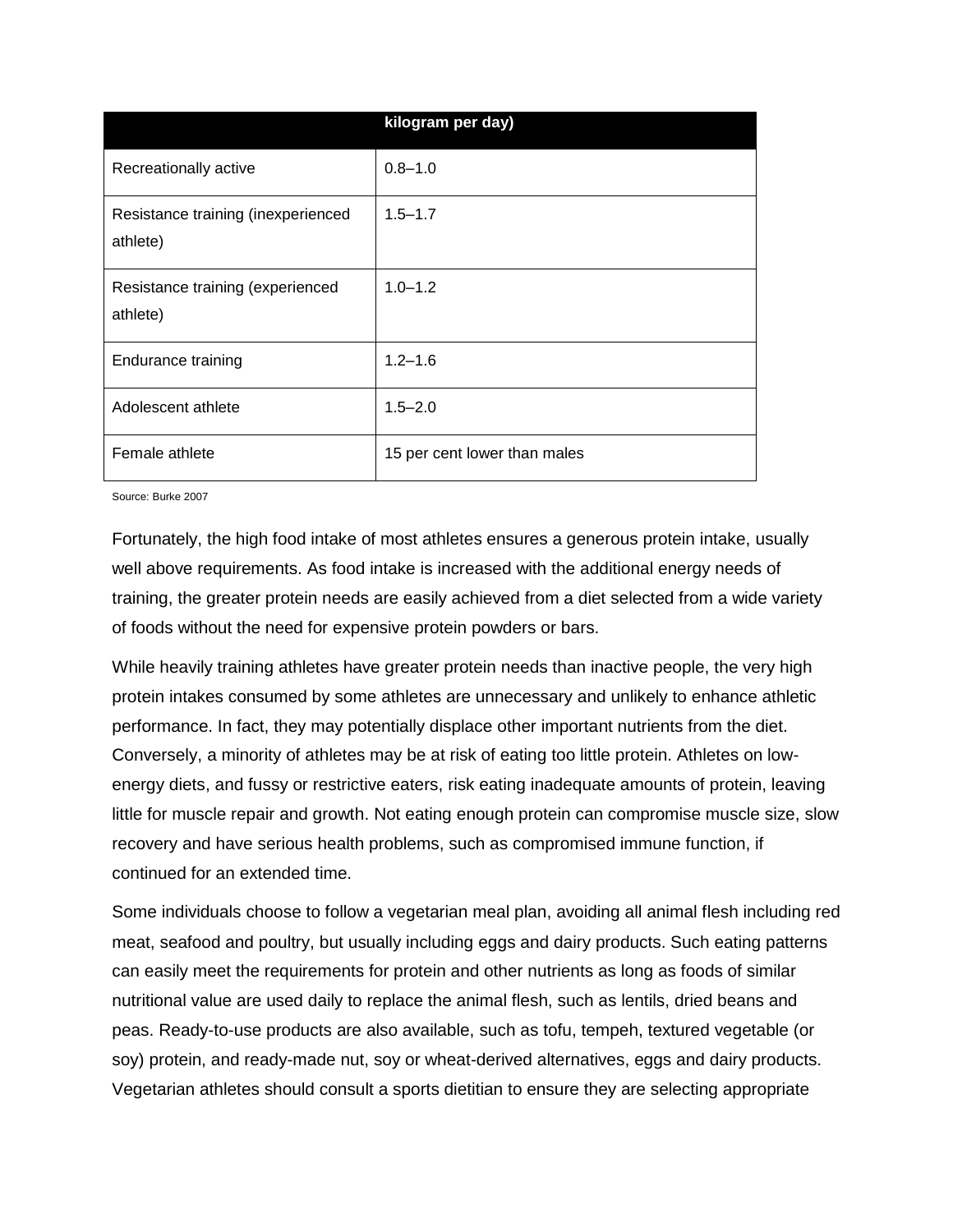|                                                | kilogram per day)            |
|------------------------------------------------|------------------------------|
| Recreationally active                          | $0.8 - 1.0$                  |
| Resistance training (inexperienced<br>athlete) | $1.5 - 1.7$                  |
| Resistance training (experienced<br>athlete)   | $1.0 - 1.2$                  |
| <b>Endurance training</b>                      | $1.2 - 1.6$                  |
| Adolescent athlete                             | $1.5 - 2.0$                  |
| Female athlete                                 | 15 per cent lower than males |

Source: Burke 2007

Fortunately, the high food intake of most athletes ensures a generous protein intake, usually well above requirements. As food intake is increased with the additional energy needs of training, the greater protein needs are easily achieved from a diet selected from a wide variety of foods without the need for expensive protein powders or bars.

While heavily training athletes have greater protein needs than inactive people, the very high protein intakes consumed by some athletes are unnecessary and unlikely to enhance athletic performance. In fact, they may potentially displace other important nutrients from the diet. Conversely, a minority of athletes may be at risk of eating too little protein. Athletes on lowenergy diets, and fussy or restrictive eaters, risk eating inadequate amounts of protein, leaving little for muscle repair and growth. Not eating enough protein can compromise muscle size, slow recovery and have serious health problems, such as compromised immune function, if continued for an extended time.

Some individuals choose to follow a vegetarian meal plan, avoiding all animal flesh including red meat, seafood and poultry, but usually including eggs and dairy products. Such eating patterns can easily meet the requirements for protein and other nutrients as long as foods of similar nutritional value are used daily to replace the animal flesh, such as lentils, dried beans and peas. Ready-to-use products are also available, such as tofu, tempeh, textured vegetable (or soy) protein, and ready-made nut, soy or wheat-derived alternatives, eggs and dairy products. Vegetarian athletes should consult a sports dietitian to ensure they are selecting appropriate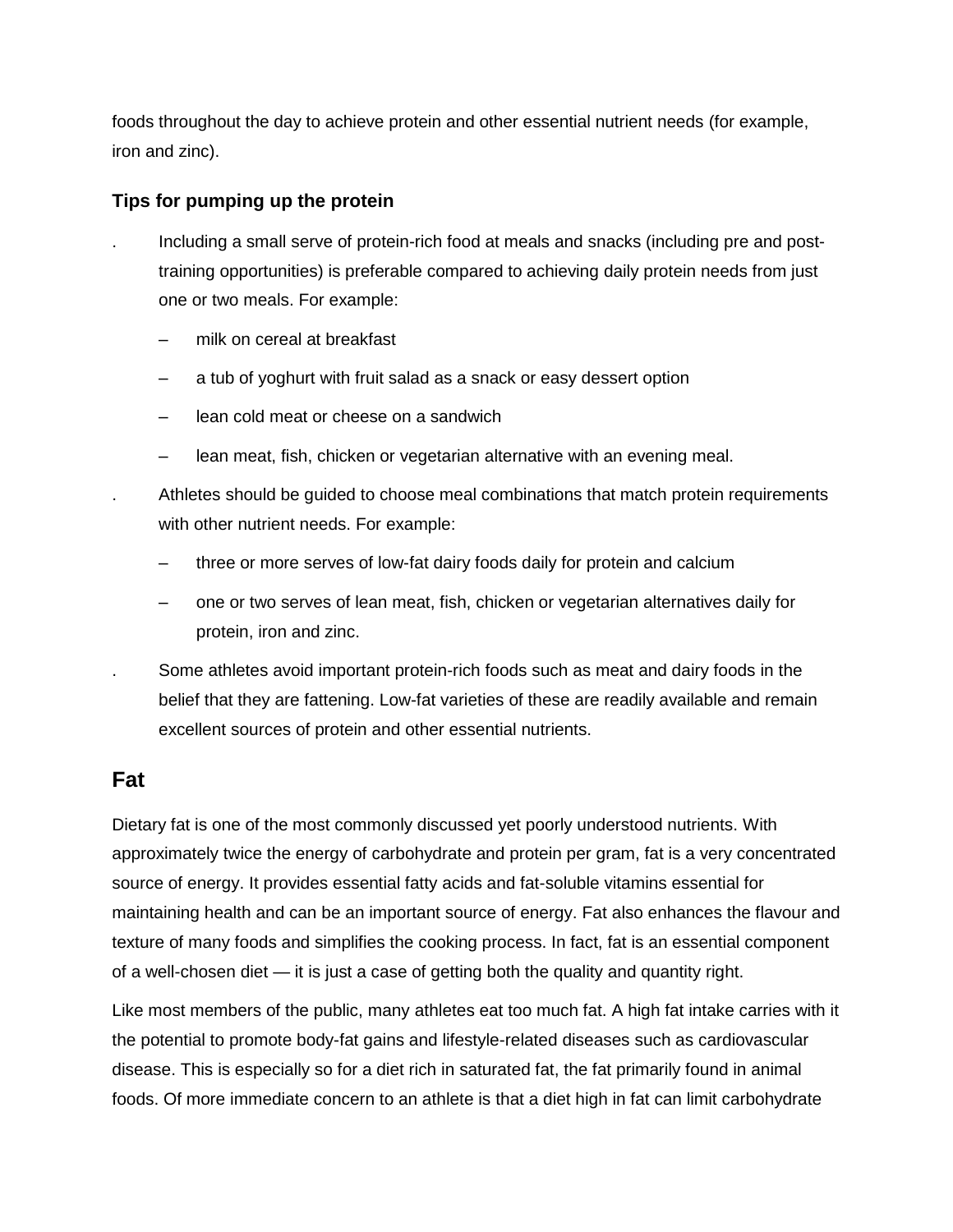foods throughout the day to achieve protein and other essential nutrient needs (for example, iron and zinc).

### **Tips for pumping up the protein**

- . Including a small serve of protein-rich food at meals and snacks (including pre and posttraining opportunities) is preferable compared to achieving daily protein needs from just one or two meals. For example:
	- milk on cereal at breakfast
	- a tub of yoghurt with fruit salad as a snack or easy dessert option
	- lean cold meat or cheese on a sandwich
	- lean meat, fish, chicken or vegetarian alternative with an evening meal.
	- . Athletes should be guided to choose meal combinations that match protein requirements with other nutrient needs. For example:
		- three or more serves of low-fat dairy foods daily for protein and calcium
		- one or two serves of lean meat, fish, chicken or vegetarian alternatives daily for protein, iron and zinc.
- . Some athletes avoid important protein-rich foods such as meat and dairy foods in the belief that they are fattening. Low-fat varieties of these are readily available and remain excellent sources of protein and other essential nutrients.

## **Fat**

Dietary fat is one of the most commonly discussed yet poorly understood nutrients. With approximately twice the energy of carbohydrate and protein per gram, fat is a very concentrated source of energy. It provides essential fatty acids and fat-soluble vitamins essential for maintaining health and can be an important source of energy. Fat also enhances the flavour and texture of many foods and simplifies the cooking process. In fact, fat is an essential component of a well-chosen diet — it is just a case of getting both the quality and quantity right.

Like most members of the public, many athletes eat too much fat. A high fat intake carries with it the potential to promote body-fat gains and lifestyle-related diseases such as cardiovascular disease. This is especially so for a diet rich in saturated fat, the fat primarily found in animal foods. Of more immediate concern to an athlete is that a diet high in fat can limit carbohydrate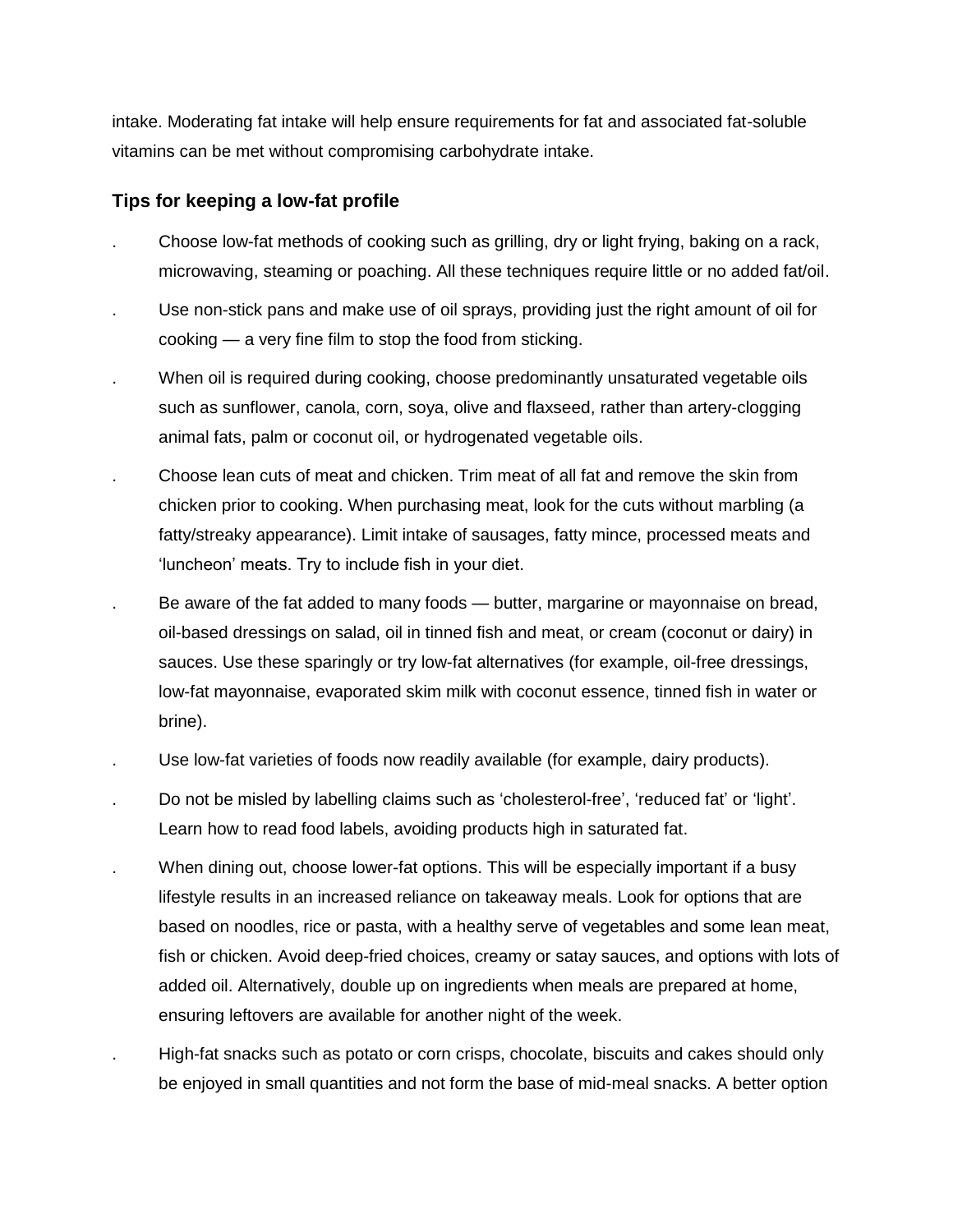intake. Moderating fat intake will help ensure requirements for fat and associated fat-soluble vitamins can be met without compromising carbohydrate intake.

### **Tips for keeping a low-fat profile**

- . Choose low-fat methods of cooking such as grilling, dry or light frying, baking on a rack, microwaving, steaming or poaching. All these techniques require little or no added fat/oil.
- . Use non-stick pans and make use of oil sprays, providing just the right amount of oil for cooking — a very fine film to stop the food from sticking.
- . When oil is required during cooking, choose predominantly unsaturated vegetable oils such as sunflower, canola, corn, soya, olive and flaxseed, rather than artery-clogging animal fats, palm or coconut oil, or hydrogenated vegetable oils.
- . Choose lean cuts of meat and chicken. Trim meat of all fat and remove the skin from chicken prior to cooking. When purchasing meat, look for the cuts without marbling (a fatty/streaky appearance). Limit intake of sausages, fatty mince, processed meats and 'luncheon' meats. Try to include fish in your diet.
- . Be aware of the fat added to many foods butter, margarine or mayonnaise on bread, oil-based dressings on salad, oil in tinned fish and meat, or cream (coconut or dairy) in sauces. Use these sparingly or try low-fat alternatives (for example, oil-free dressings, low-fat mayonnaise, evaporated skim milk with coconut essence, tinned fish in water or brine).
- . Use low-fat varieties of foods now readily available (for example, dairy products).
- . Do not be misled by labelling claims such as 'cholesterol-free', 'reduced fat' or 'light'. Learn how to read food labels, avoiding products high in saturated fat.
- When dining out, choose lower-fat options. This will be especially important if a busy lifestyle results in an increased reliance on takeaway meals. Look for options that are based on noodles, rice or pasta, with a healthy serve of vegetables and some lean meat, fish or chicken. Avoid deep-fried choices, creamy or satay sauces, and options with lots of added oil. Alternatively, double up on ingredients when meals are prepared at home, ensuring leftovers are available for another night of the week.
- . High-fat snacks such as potato or corn crisps, chocolate, biscuits and cakes should only be enjoyed in small quantities and not form the base of mid-meal snacks. A better option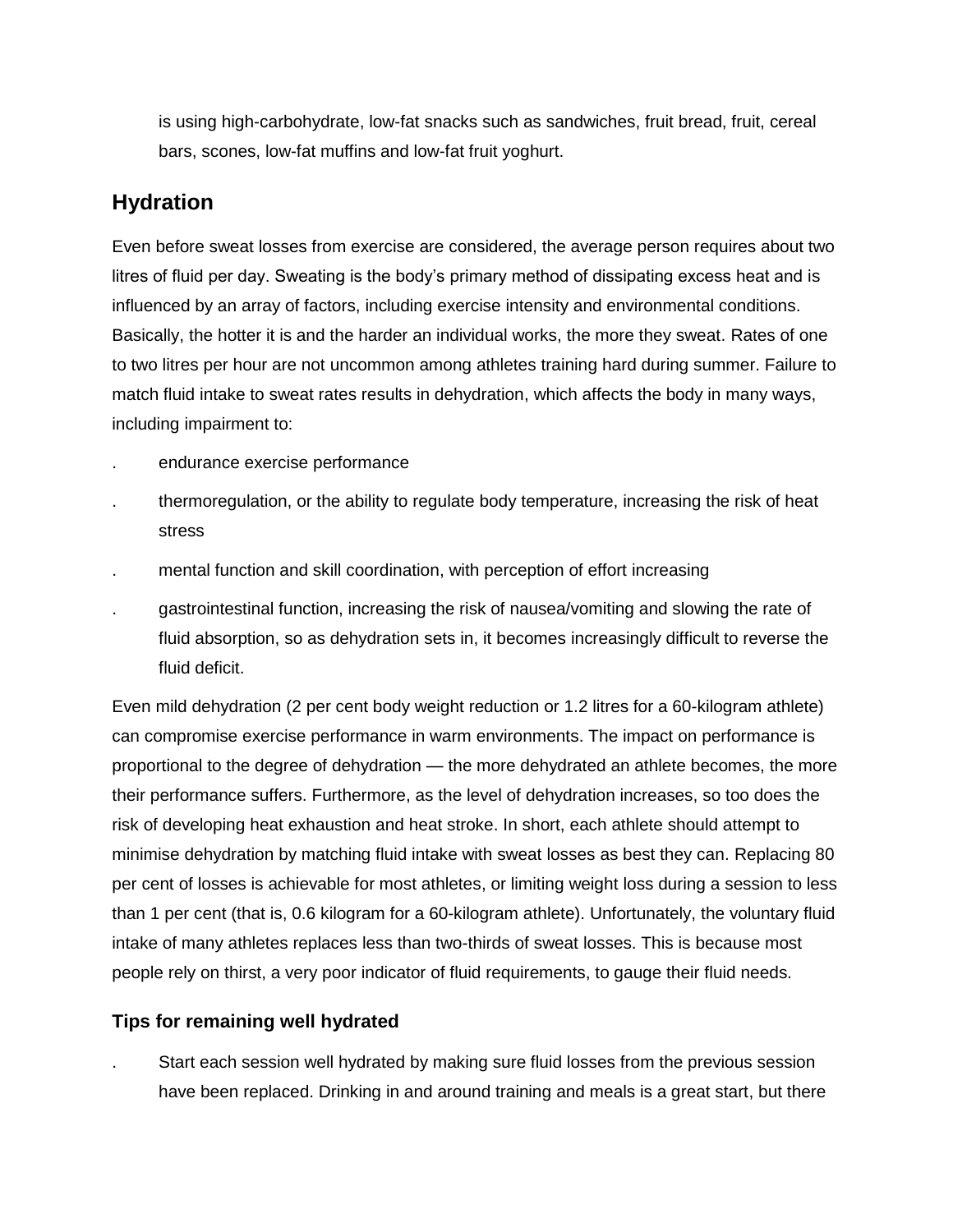is using high-carbohydrate, low-fat snacks such as sandwiches, fruit bread, fruit, cereal bars, scones, low-fat muffins and low-fat fruit yoghurt.

## **Hydration**

Even before sweat losses from exercise are considered, the average person requires about two litres of fluid per day. Sweating is the body's primary method of dissipating excess heat and is influenced by an array of factors, including exercise intensity and environmental conditions. Basically, the hotter it is and the harder an individual works, the more they sweat. Rates of one to two litres per hour are not uncommon among athletes training hard during summer. Failure to match fluid intake to sweat rates results in dehydration, which affects the body in many ways, including impairment to:

- . endurance exercise performance
- . thermoregulation, or the ability to regulate body temperature, increasing the risk of heat stress
- . mental function and skill coordination, with perception of effort increasing
- . gastrointestinal function, increasing the risk of nausea/vomiting and slowing the rate of fluid absorption, so as dehydration sets in, it becomes increasingly difficult to reverse the fluid deficit.

Even mild dehydration (2 per cent body weight reduction or 1.2 litres for a 60-kilogram athlete) can compromise exercise performance in warm environments. The impact on performance is proportional to the degree of dehydration — the more dehydrated an athlete becomes, the more their performance suffers. Furthermore, as the level of dehydration increases, so too does the risk of developing heat exhaustion and heat stroke. In short, each athlete should attempt to minimise dehydration by matching fluid intake with sweat losses as best they can. Replacing 80 per cent of losses is achievable for most athletes, or limiting weight loss during a session to less than 1 per cent (that is, 0.6 kilogram for a 60-kilogram athlete). Unfortunately, the voluntary fluid intake of many athletes replaces less than two-thirds of sweat losses. This is because most people rely on thirst, a very poor indicator of fluid requirements, to gauge their fluid needs.

### **Tips for remaining well hydrated**

. Start each session well hydrated by making sure fluid losses from the previous session have been replaced. Drinking in and around training and meals is a great start, but there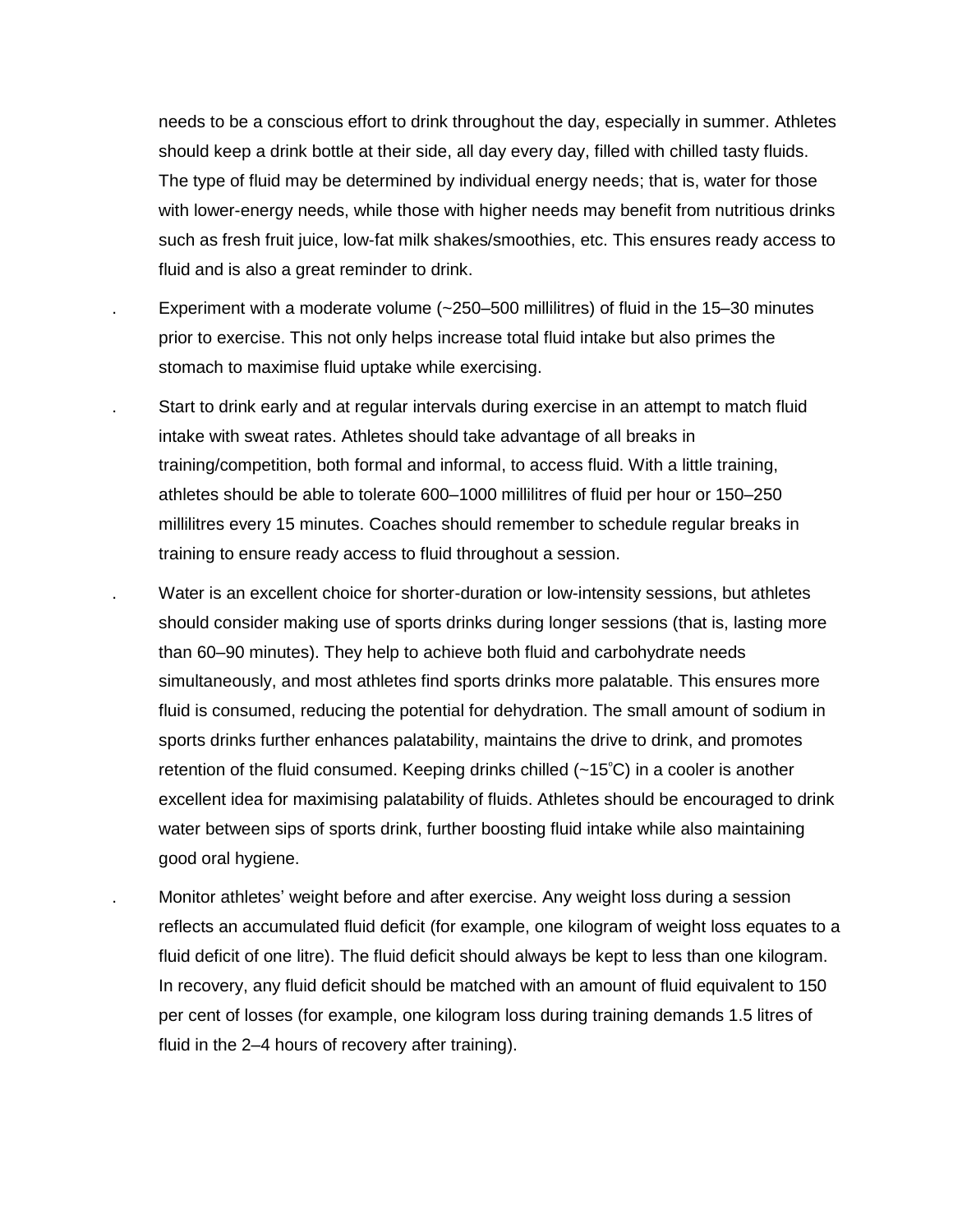needs to be a conscious effort to drink throughout the day, especially in summer. Athletes should keep a drink bottle at their side, all day every day, filled with chilled tasty fluids. The type of fluid may be determined by individual energy needs; that is, water for those with lower-energy needs, while those with higher needs may benefit from nutritious drinks such as fresh fruit juice, low-fat milk shakes/smoothies, etc. This ensures ready access to fluid and is also a great reminder to drink.

- . Experiment with a moderate volume (~250–500 millilitres) of fluid in the 15–30 minutes prior to exercise. This not only helps increase total fluid intake but also primes the stomach to maximise fluid uptake while exercising.
- . Start to drink early and at regular intervals during exercise in an attempt to match fluid intake with sweat rates. Athletes should take advantage of all breaks in training/competition, both formal and informal, to access fluid. With a little training, athletes should be able to tolerate 600–1000 millilitres of fluid per hour or 150–250 millilitres every 15 minutes. Coaches should remember to schedule regular breaks in training to ensure ready access to fluid throughout a session.
- . Water is an excellent choice for shorter-duration or low-intensity sessions, but athletes should consider making use of sports drinks during longer sessions (that is, lasting more than 60–90 minutes). They help to achieve both fluid and carbohydrate needs simultaneously, and most athletes find sports drinks more palatable. This ensures more fluid is consumed, reducing the potential for dehydration. The small amount of sodium in sports drinks further enhances palatability, maintains the drive to drink, and promotes retention of the fluid consumed. Keeping drinks chilled  $(-15^{\circ}C)$  in a cooler is another excellent idea for maximising palatability of fluids. Athletes should be encouraged to drink water between sips of sports drink, further boosting fluid intake while also maintaining good oral hygiene.
	- . Monitor athletes' weight before and after exercise. Any weight loss during a session reflects an accumulated fluid deficit (for example, one kilogram of weight loss equates to a fluid deficit of one litre). The fluid deficit should always be kept to less than one kilogram. In recovery, any fluid deficit should be matched with an amount of fluid equivalent to 150 per cent of losses (for example, one kilogram loss during training demands 1.5 litres of fluid in the 2–4 hours of recovery after training).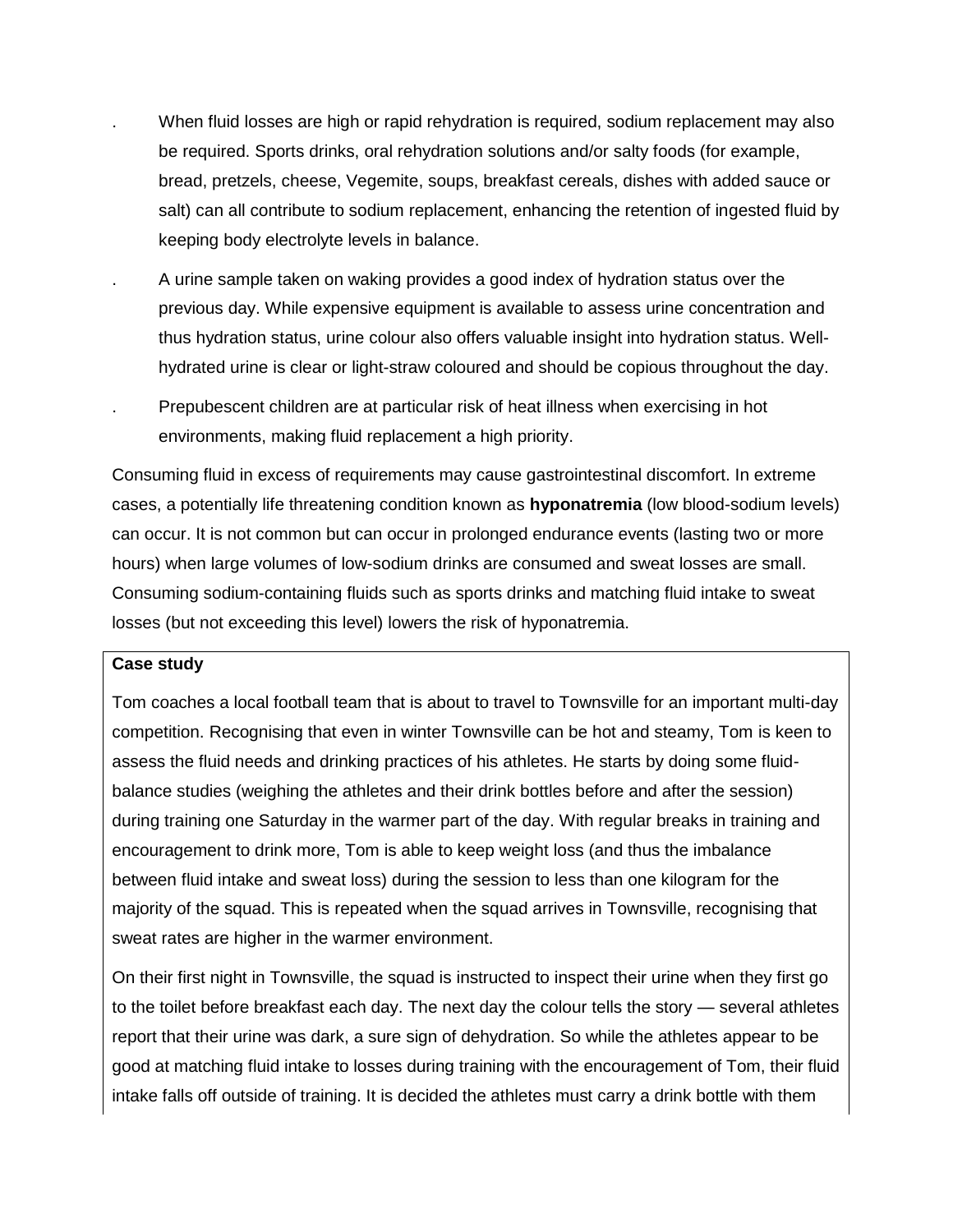- . When fluid losses are high or rapid rehydration is required, sodium replacement may also be required. Sports drinks, oral rehydration solutions and/or salty foods (for example, bread, pretzels, cheese, Vegemite, soups, breakfast cereals, dishes with added sauce or salt) can all contribute to sodium replacement, enhancing the retention of ingested fluid by keeping body electrolyte levels in balance.
- . A urine sample taken on waking provides a good index of hydration status over the previous day. While expensive equipment is available to assess urine concentration and thus hydration status, urine colour also offers valuable insight into hydration status. Wellhydrated urine is clear or light-straw coloured and should be copious throughout the day.
- . Prepubescent children are at particular risk of heat illness when exercising in hot environments, making fluid replacement a high priority.

Consuming fluid in excess of requirements may cause gastrointestinal discomfort. In extreme cases, a potentially life threatening condition known as **hyponatremia** (low blood-sodium levels) can occur. It is not common but can occur in prolonged endurance events (lasting two or more hours) when large volumes of low-sodium drinks are consumed and sweat losses are small. Consuming sodium-containing fluids such as sports drinks and matching fluid intake to sweat losses (but not exceeding this level) lowers the risk of hyponatremia.

#### **Case study**

Tom coaches a local football team that is about to travel to Townsville for an important multi-day competition. Recognising that even in winter Townsville can be hot and steamy, Tom is keen to assess the fluid needs and drinking practices of his athletes. He starts by doing some fluidbalance studies (weighing the athletes and their drink bottles before and after the session) during training one Saturday in the warmer part of the day. With regular breaks in training and encouragement to drink more, Tom is able to keep weight loss (and thus the imbalance between fluid intake and sweat loss) during the session to less than one kilogram for the majority of the squad. This is repeated when the squad arrives in Townsville, recognising that sweat rates are higher in the warmer environment.

On their first night in Townsville, the squad is instructed to inspect their urine when they first go to the toilet before breakfast each day. The next day the colour tells the story — several athletes report that their urine was dark, a sure sign of dehydration. So while the athletes appear to be good at matching fluid intake to losses during training with the encouragement of Tom, their fluid intake falls off outside of training. It is decided the athletes must carry a drink bottle with them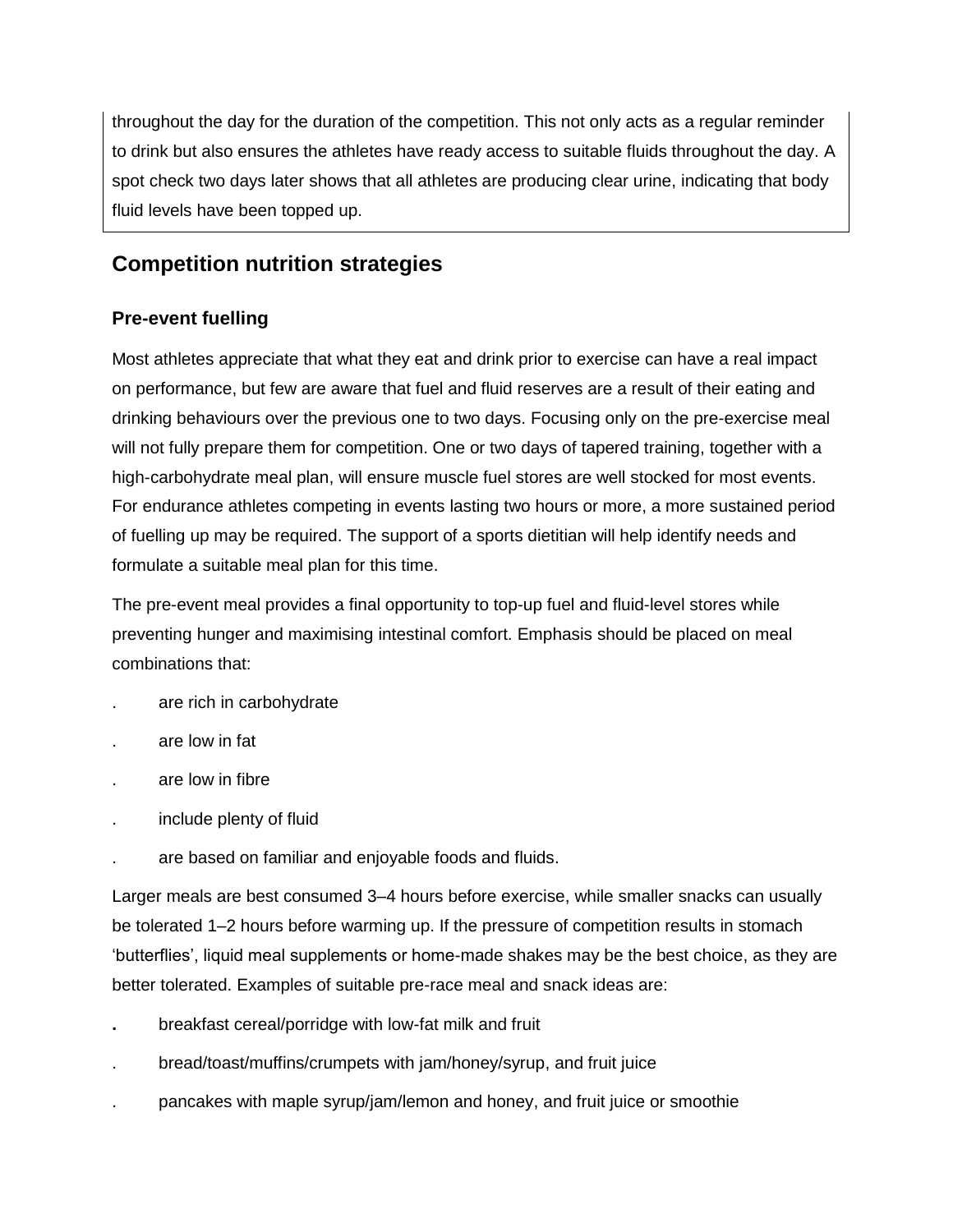throughout the day for the duration of the competition. This not only acts as a regular reminder to drink but also ensures the athletes have ready access to suitable fluids throughout the day. A spot check two days later shows that all athletes are producing clear urine, indicating that body fluid levels have been topped up.

## **Competition nutrition strategies**

### **Pre-event fuelling**

Most athletes appreciate that what they eat and drink prior to exercise can have a real impact on performance, but few are aware that fuel and fluid reserves are a result of their eating and drinking behaviours over the previous one to two days. Focusing only on the pre-exercise meal will not fully prepare them for competition. One or two days of tapered training, together with a high-carbohydrate meal plan, will ensure muscle fuel stores are well stocked for most events. For endurance athletes competing in events lasting two hours or more, a more sustained period of fuelling up may be required. The support of a sports dietitian will help identify needs and formulate a suitable meal plan for this time.

The pre-event meal provides a final opportunity to top-up fuel and fluid-level stores while preventing hunger and maximising intestinal comfort. Emphasis should be placed on meal combinations that:

- . are rich in carbohydrate
- . are low in fat
- . are low in fibre
- . include plenty of fluid
- . are based on familiar and enjoyable foods and fluids.

Larger meals are best consumed 3–4 hours before exercise, while smaller snacks can usually be tolerated 1–2 hours before warming up. If the pressure of competition results in stomach 'butterflies', liquid meal supplements or home-made shakes may be the best choice, as they are better tolerated. Examples of suitable pre-race meal and snack ideas are:

- **.** breakfast cereal/porridge with low-fat milk and fruit
- . bread/toast/muffins/crumpets with jam/honey/syrup, and fruit juice
- . pancakes with maple syrup/jam/lemon and honey, and fruit juice or smoothie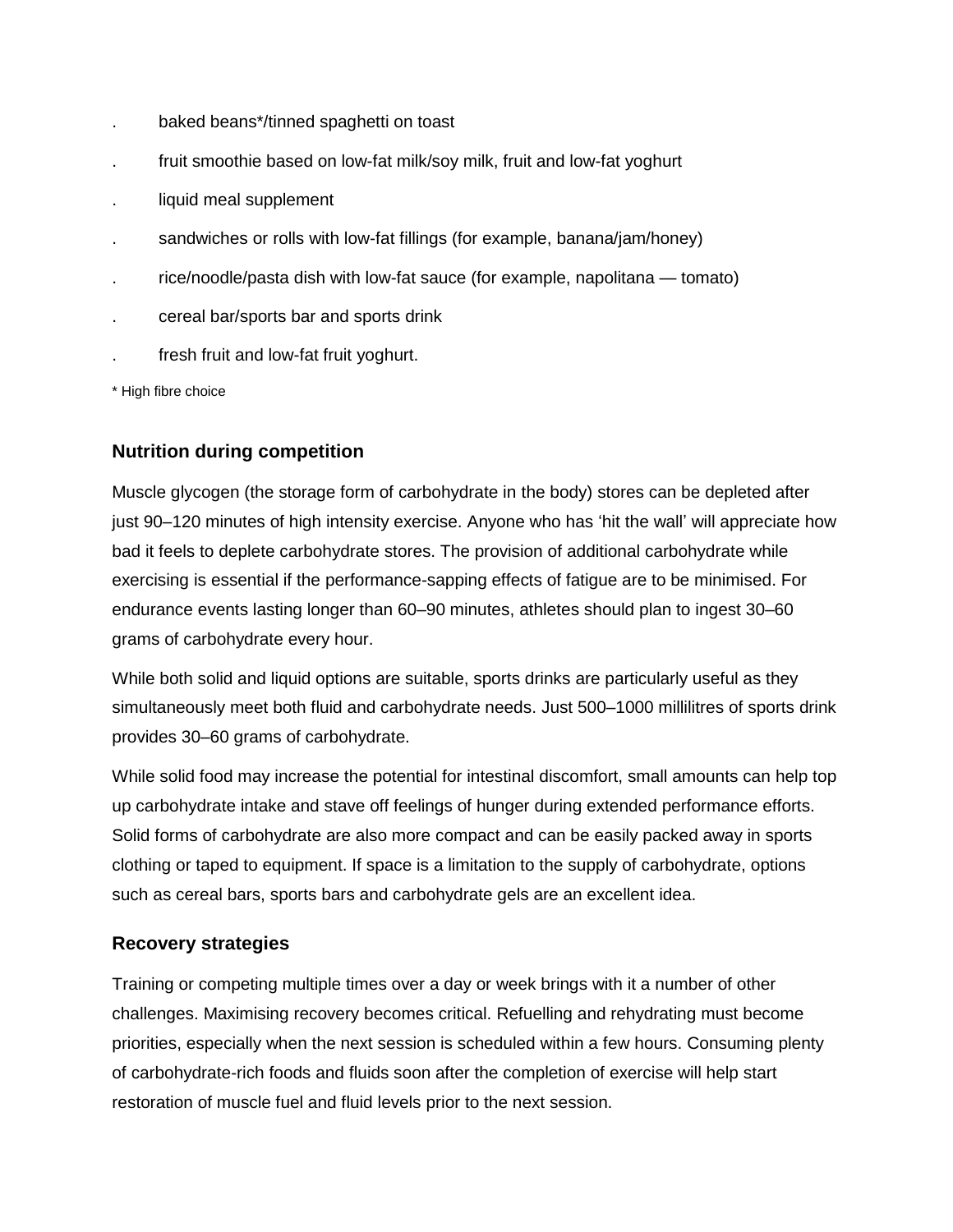- . baked beans\*/tinned spaghetti on toast
- fruit smoothie based on low-fat milk/soy milk, fruit and low-fat yoghurt
- liquid meal supplement
- sandwiches or rolls with low-fat fillings (for example, banana/jam/honey)
- . rice/noodle/pasta dish with low-fat sauce (for example, napolitana tomato)
- . cereal bar/sports bar and sports drink
- fresh fruit and low-fat fruit yoghurt.

\* High fibre choice

### **Nutrition during competition**

Muscle glycogen (the storage form of carbohydrate in the body) stores can be depleted after just 90–120 minutes of high intensity exercise. Anyone who has 'hit the wall' will appreciate how bad it feels to deplete carbohydrate stores. The provision of additional carbohydrate while exercising is essential if the performance-sapping effects of fatigue are to be minimised. For endurance events lasting longer than 60–90 minutes, athletes should plan to ingest 30–60 grams of carbohydrate every hour.

While both solid and liquid options are suitable, sports drinks are particularly useful as they simultaneously meet both fluid and carbohydrate needs. Just 500–1000 millilitres of sports drink provides 30–60 grams of carbohydrate.

While solid food may increase the potential for intestinal discomfort, small amounts can help top up carbohydrate intake and stave off feelings of hunger during extended performance efforts. Solid forms of carbohydrate are also more compact and can be easily packed away in sports clothing or taped to equipment. If space is a limitation to the supply of carbohydrate, options such as cereal bars, sports bars and carbohydrate gels are an excellent idea.

### **Recovery strategies**

Training or competing multiple times over a day or week brings with it a number of other challenges. Maximising recovery becomes critical. Refuelling and rehydrating must become priorities, especially when the next session is scheduled within a few hours. Consuming plenty of carbohydrate-rich foods and fluids soon after the completion of exercise will help start restoration of muscle fuel and fluid levels prior to the next session.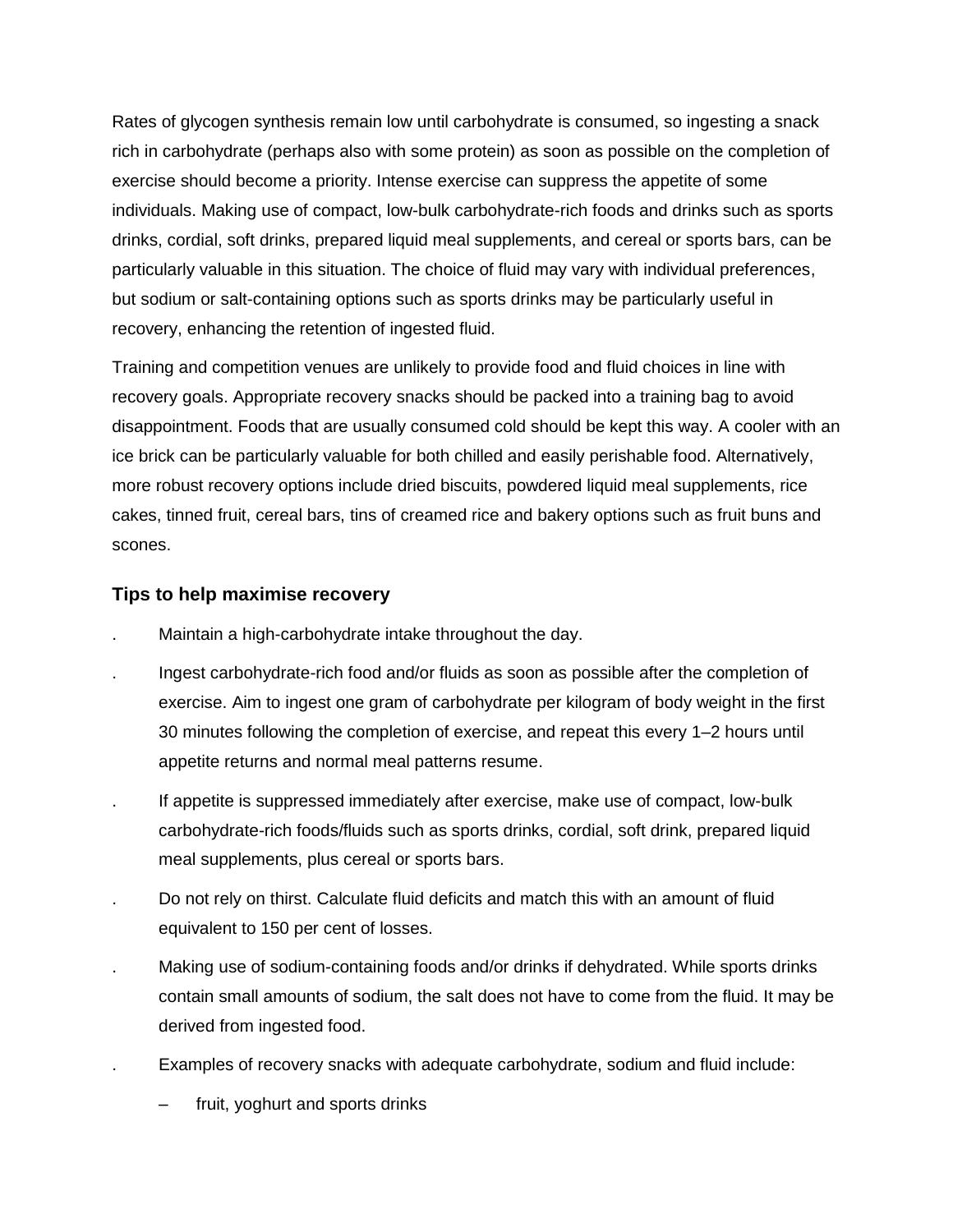Rates of glycogen synthesis remain low until carbohydrate is consumed, so ingesting a snack rich in carbohydrate (perhaps also with some protein) as soon as possible on the completion of exercise should become a priority. Intense exercise can suppress the appetite of some individuals. Making use of compact, low-bulk carbohydrate-rich foods and drinks such as sports drinks, cordial, soft drinks, prepared liquid meal supplements, and cereal or sports bars, can be particularly valuable in this situation. The choice of fluid may vary with individual preferences, but sodium or salt-containing options such as sports drinks may be particularly useful in recovery, enhancing the retention of ingested fluid.

Training and competition venues are unlikely to provide food and fluid choices in line with recovery goals. Appropriate recovery snacks should be packed into a training bag to avoid disappointment. Foods that are usually consumed cold should be kept this way. A cooler with an ice brick can be particularly valuable for both chilled and easily perishable food. Alternatively, more robust recovery options include dried biscuits, powdered liquid meal supplements, rice cakes, tinned fruit, cereal bars, tins of creamed rice and bakery options such as fruit buns and scones.

### **Tips to help maximise recovery**

- . Maintain a high-carbohydrate intake throughout the day.
- . Ingest carbohydrate-rich food and/or fluids as soon as possible after the completion of exercise. Aim to ingest one gram of carbohydrate per kilogram of body weight in the first 30 minutes following the completion of exercise, and repeat this every 1–2 hours until appetite returns and normal meal patterns resume.
- . If appetite is suppressed immediately after exercise, make use of compact, low-bulk carbohydrate-rich foods/fluids such as sports drinks, cordial, soft drink, prepared liquid meal supplements, plus cereal or sports bars.
- . Do not rely on thirst. Calculate fluid deficits and match this with an amount of fluid equivalent to 150 per cent of losses.
- . Making use of sodium-containing foods and/or drinks if dehydrated. While sports drinks contain small amounts of sodium, the salt does not have to come from the fluid. It may be derived from ingested food.
- . Examples of recovery snacks with adequate carbohydrate, sodium and fluid include:
	- fruit, yoghurt and sports drinks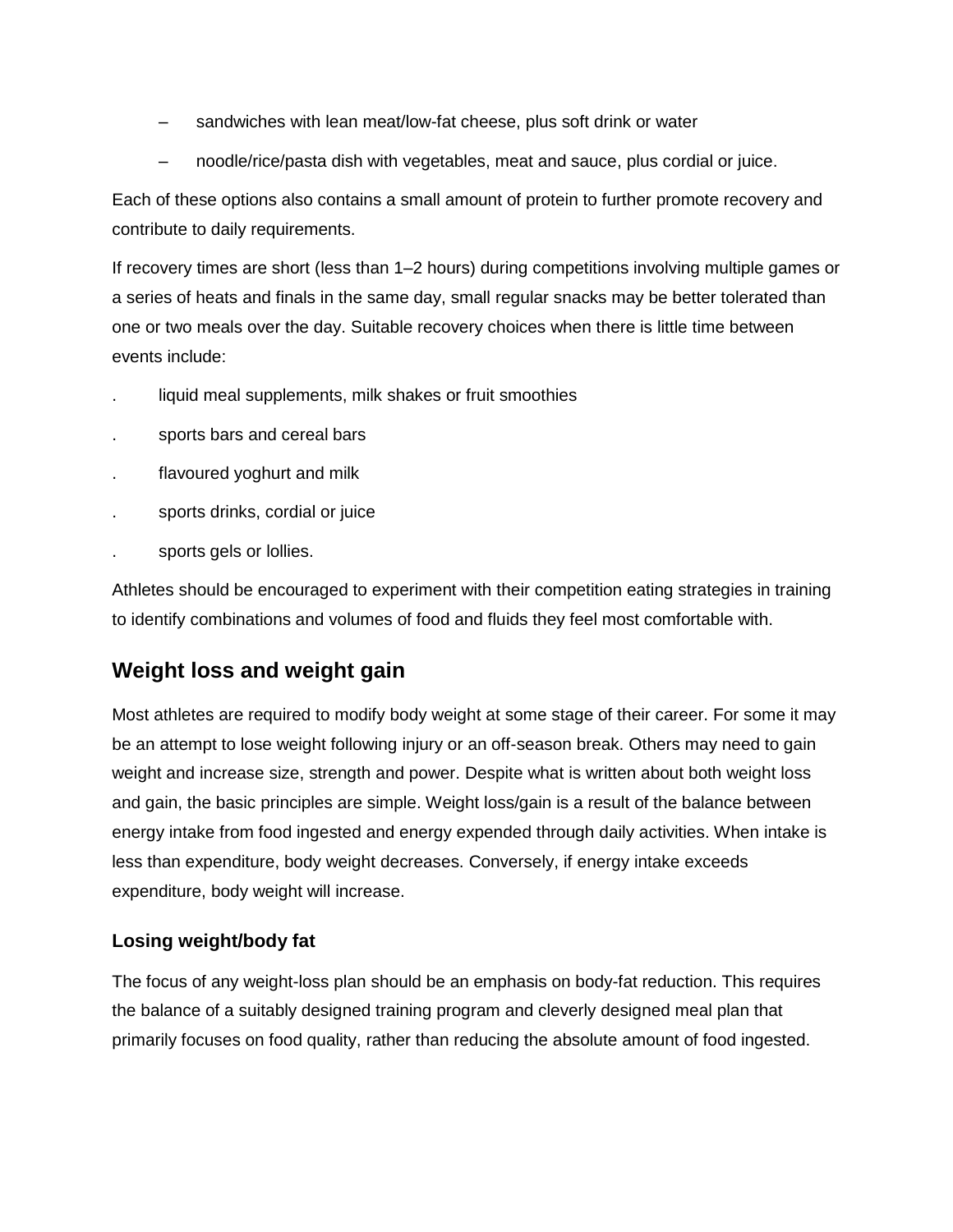- sandwiches with lean meat/low-fat cheese, plus soft drink or water
- noodle/rice/pasta dish with vegetables, meat and sauce, plus cordial or juice.

Each of these options also contains a small amount of protein to further promote recovery and contribute to daily requirements.

If recovery times are short (less than 1–2 hours) during competitions involving multiple games or a series of heats and finals in the same day, small regular snacks may be better tolerated than one or two meals over the day. Suitable recovery choices when there is little time between events include:

- liquid meal supplements, milk shakes or fruit smoothies
- . sports bars and cereal bars
- flavoured yoghurt and milk
- sports drinks, cordial or juice
- . sports gels or lollies.

Athletes should be encouraged to experiment with their competition eating strategies in training to identify combinations and volumes of food and fluids they feel most comfortable with.

## **Weight loss and weight gain**

Most athletes are required to modify body weight at some stage of their career. For some it may be an attempt to lose weight following injury or an off-season break. Others may need to gain weight and increase size, strength and power. Despite what is written about both weight loss and gain, the basic principles are simple. Weight loss/gain is a result of the balance between energy intake from food ingested and energy expended through daily activities. When intake is less than expenditure, body weight decreases. Conversely, if energy intake exceeds expenditure, body weight will increase.

### **Losing weight/body fat**

The focus of any weight-loss plan should be an emphasis on body-fat reduction. This requires the balance of a suitably designed training program and cleverly designed meal plan that primarily focuses on food quality, rather than reducing the absolute amount of food ingested.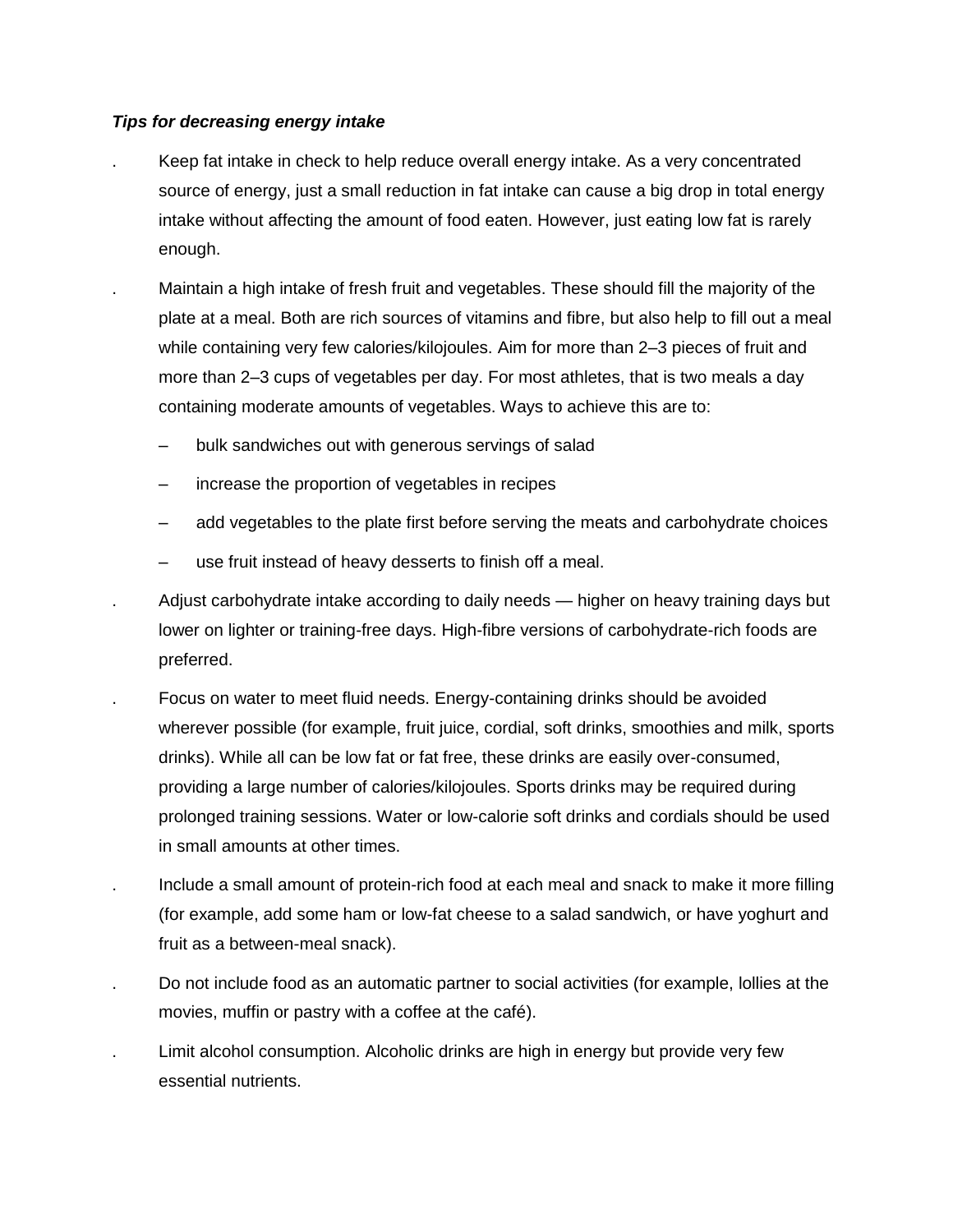### *Tips for decreasing energy intake*

- . Keep fat intake in check to help reduce overall energy intake. As a very concentrated source of energy, just a small reduction in fat intake can cause a big drop in total energy intake without affecting the amount of food eaten. However, just eating low fat is rarely enough.
- . Maintain a high intake of fresh fruit and vegetables. These should fill the majority of the plate at a meal. Both are rich sources of vitamins and fibre, but also help to fill out a meal while containing very few calories/kilojoules. Aim for more than 2–3 pieces of fruit and more than 2–3 cups of vegetables per day. For most athletes, that is two meals a day containing moderate amounts of vegetables. Ways to achieve this are to:
	- bulk sandwiches out with generous servings of salad
	- increase the proportion of vegetables in recipes
	- add vegetables to the plate first before serving the meats and carbohydrate choices
	- use fruit instead of heavy desserts to finish off a meal.
- . Adjust carbohydrate intake according to daily needs higher on heavy training days but lower on lighter or training-free days. High-fibre versions of carbohydrate-rich foods are preferred.
- . Focus on water to meet fluid needs. Energy-containing drinks should be avoided wherever possible (for example, fruit juice, cordial, soft drinks, smoothies and milk, sports drinks). While all can be low fat or fat free, these drinks are easily over-consumed, providing a large number of calories/kilojoules. Sports drinks may be required during prolonged training sessions. Water or low-calorie soft drinks and cordials should be used in small amounts at other times.
- . Include a small amount of protein-rich food at each meal and snack to make it more filling (for example, add some ham or low-fat cheese to a salad sandwich, or have yoghurt and fruit as a between-meal snack).
- . Do not include food as an automatic partner to social activities (for example, lollies at the movies, muffin or pastry with a coffee at the café).
- Limit alcohol consumption. Alcoholic drinks are high in energy but provide very few essential nutrients.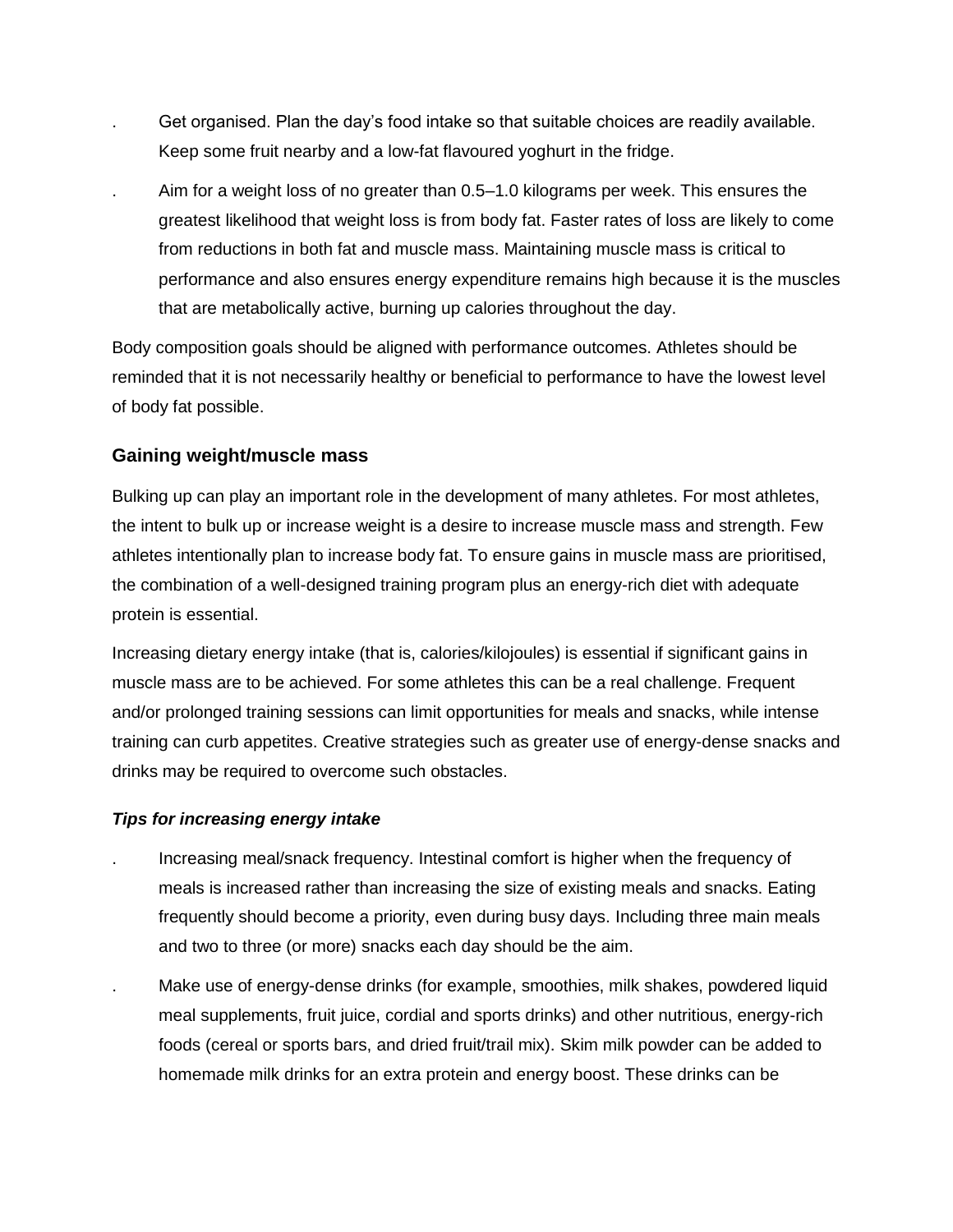- . Get organised. Plan the day's food intake so that suitable choices are readily available. Keep some fruit nearby and a low-fat flavoured yoghurt in the fridge.
- . Aim for a weight loss of no greater than 0.5–1.0 kilograms per week. This ensures the greatest likelihood that weight loss is from body fat. Faster rates of loss are likely to come from reductions in both fat and muscle mass. Maintaining muscle mass is critical to performance and also ensures energy expenditure remains high because it is the muscles that are metabolically active, burning up calories throughout the day.

Body composition goals should be aligned with performance outcomes. Athletes should be reminded that it is not necessarily healthy or beneficial to performance to have the lowest level of body fat possible.

### **Gaining weight/muscle mass**

Bulking up can play an important role in the development of many athletes. For most athletes, the intent to bulk up or increase weight is a desire to increase muscle mass and strength. Few athletes intentionally plan to increase body fat. To ensure gains in muscle mass are prioritised, the combination of a well-designed training program plus an energy-rich diet with adequate protein is essential.

Increasing dietary energy intake (that is, calories/kilojoules) is essential if significant gains in muscle mass are to be achieved. For some athletes this can be a real challenge. Frequent and/or prolonged training sessions can limit opportunities for meals and snacks, while intense training can curb appetites. Creative strategies such as greater use of energy-dense snacks and drinks may be required to overcome such obstacles.

### *Tips for increasing energy intake*

- . Increasing meal/snack frequency. Intestinal comfort is higher when the frequency of meals is increased rather than increasing the size of existing meals and snacks. Eating frequently should become a priority, even during busy days. Including three main meals and two to three (or more) snacks each day should be the aim.
- . Make use of energy-dense drinks (for example, smoothies, milk shakes, powdered liquid meal supplements, fruit juice, cordial and sports drinks) and other nutritious, energy-rich foods (cereal or sports bars, and dried fruit/trail mix). Skim milk powder can be added to homemade milk drinks for an extra protein and energy boost. These drinks can be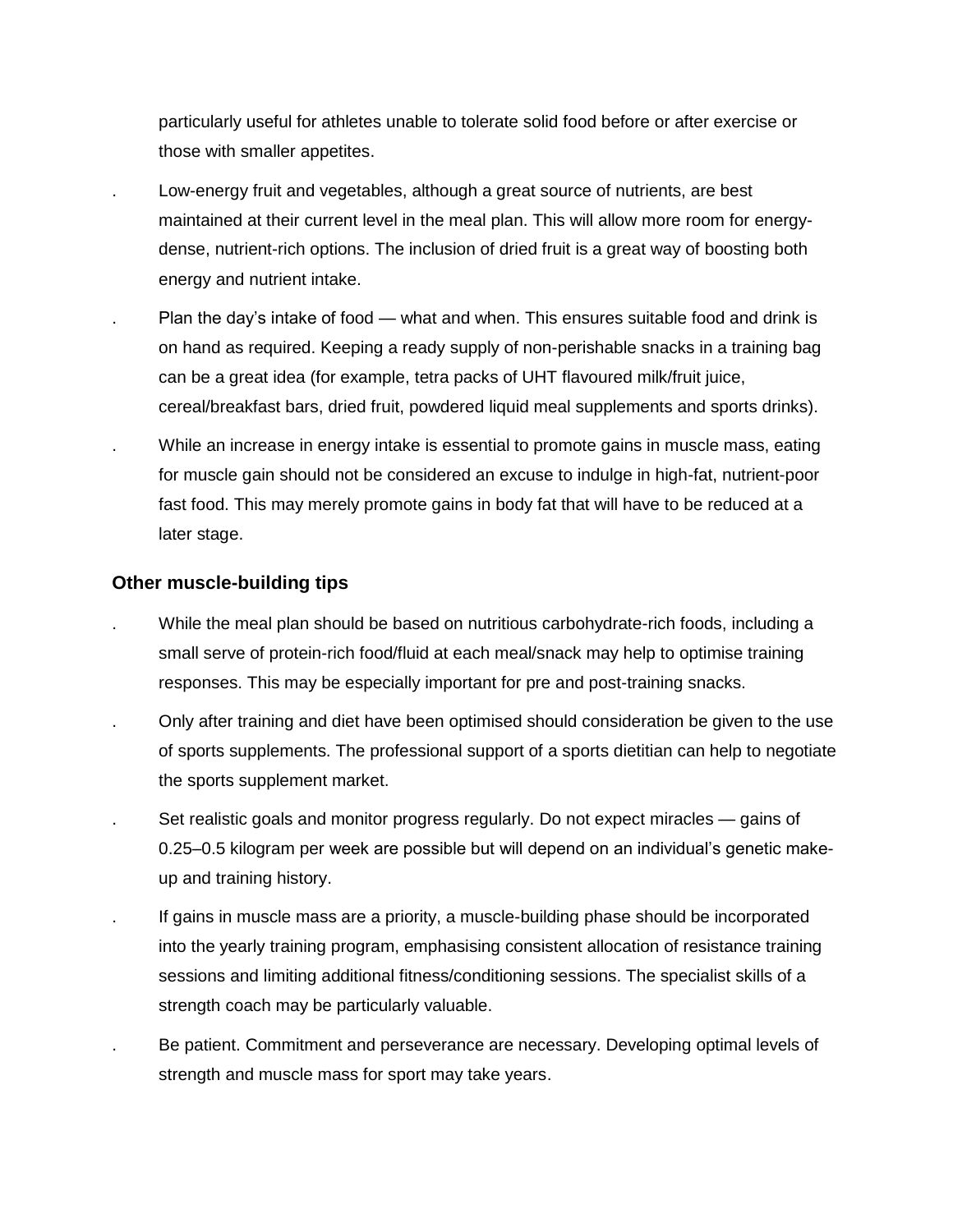particularly useful for athletes unable to tolerate solid food before or after exercise or those with smaller appetites.

- . Low-energy fruit and vegetables, although a great source of nutrients, are best maintained at their current level in the meal plan. This will allow more room for energydense, nutrient-rich options. The inclusion of dried fruit is a great way of boosting both energy and nutrient intake.
- . Plan the day's intake of food what and when. This ensures suitable food and drink is on hand as required. Keeping a ready supply of non-perishable snacks in a training bag can be a great idea (for example, tetra packs of UHT flavoured milk/fruit juice, cereal/breakfast bars, dried fruit, powdered liquid meal supplements and sports drinks).
	- . While an increase in energy intake is essential to promote gains in muscle mass, eating for muscle gain should not be considered an excuse to indulge in high-fat, nutrient-poor fast food. This may merely promote gains in body fat that will have to be reduced at a later stage.

### **Other muscle-building tips**

- While the meal plan should be based on nutritious carbohydrate-rich foods, including a small serve of protein-rich food/fluid at each meal/snack may help to optimise training responses. This may be especially important for pre and post-training snacks.
- . Only after training and diet have been optimised should consideration be given to the use of sports supplements. The professional support of a sports dietitian can help to negotiate the sports supplement market.
- Set realistic goals and monitor progress regularly. Do not expect miracles gains of 0.25–0.5 kilogram per week are possible but will depend on an individual's genetic makeup and training history.
- If gains in muscle mass are a priority, a muscle-building phase should be incorporated into the yearly training program, emphasising consistent allocation of resistance training sessions and limiting additional fitness/conditioning sessions. The specialist skills of a strength coach may be particularly valuable.
- . Be patient. Commitment and perseverance are necessary. Developing optimal levels of strength and muscle mass for sport may take years.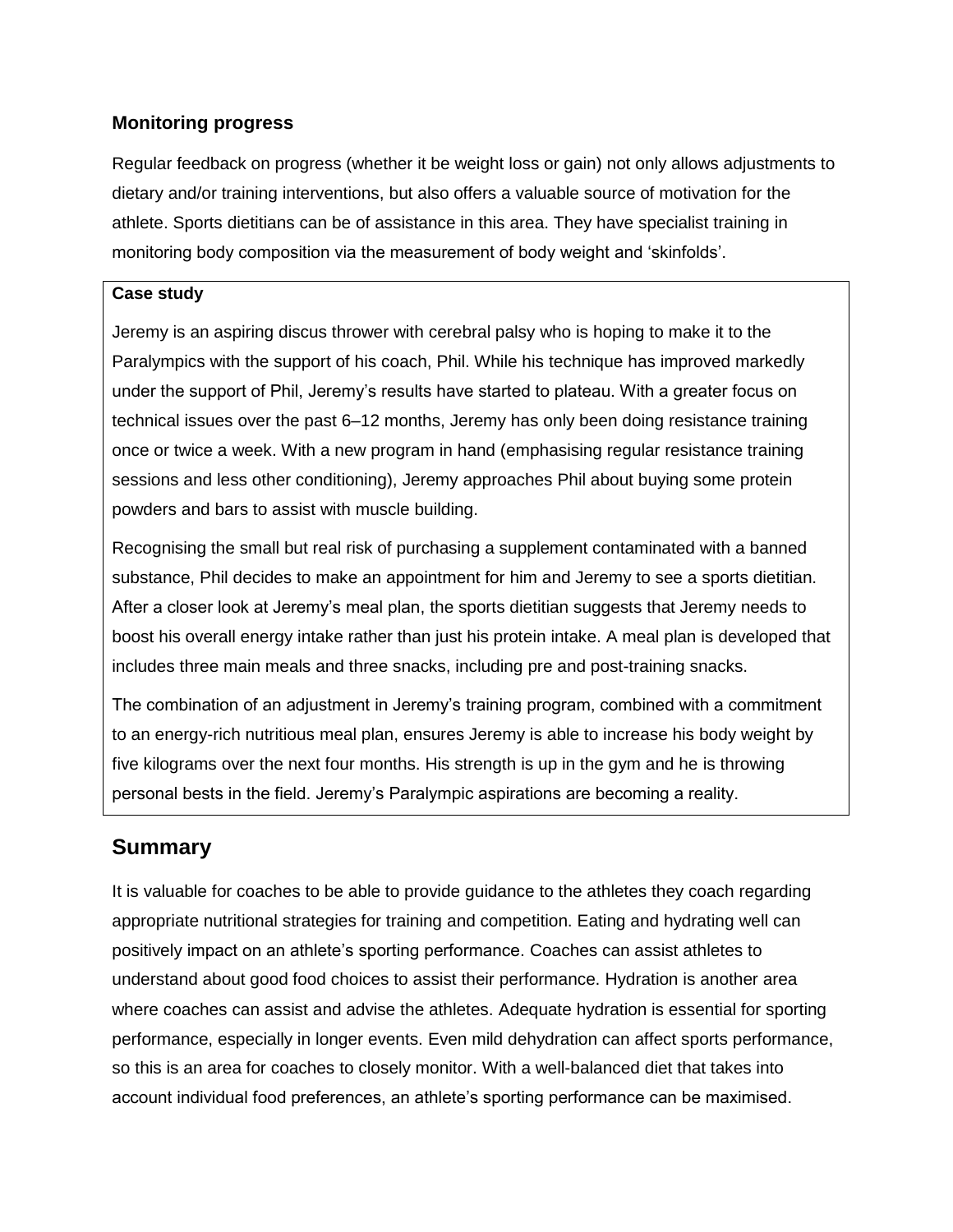### **Monitoring progress**

Regular feedback on progress (whether it be weight loss or gain) not only allows adjustments to dietary and/or training interventions, but also offers a valuable source of motivation for the athlete. Sports dietitians can be of assistance in this area. They have specialist training in monitoring body composition via the measurement of body weight and 'skinfolds'.

### **Case study**

Jeremy is an aspiring discus thrower with cerebral palsy who is hoping to make it to the Paralympics with the support of his coach, Phil. While his technique has improved markedly under the support of Phil, Jeremy's results have started to plateau. With a greater focus on technical issues over the past 6–12 months, Jeremy has only been doing resistance training once or twice a week. With a new program in hand (emphasising regular resistance training sessions and less other conditioning), Jeremy approaches Phil about buying some protein powders and bars to assist with muscle building.

Recognising the small but real risk of purchasing a supplement contaminated with a banned substance, Phil decides to make an appointment for him and Jeremy to see a sports dietitian. After a closer look at Jeremy's meal plan, the sports dietitian suggests that Jeremy needs to boost his overall energy intake rather than just his protein intake. A meal plan is developed that includes three main meals and three snacks, including pre and post-training snacks.

The combination of an adjustment in Jeremy's training program, combined with a commitment to an energy-rich nutritious meal plan, ensures Jeremy is able to increase his body weight by five kilograms over the next four months. His strength is up in the gym and he is throwing personal bests in the field. Jeremy's Paralympic aspirations are becoming a reality.

## **Summary**

It is valuable for coaches to be able to provide guidance to the athletes they coach regarding appropriate nutritional strategies for training and competition. Eating and hydrating well can positively impact on an athlete's sporting performance. Coaches can assist athletes to understand about good food choices to assist their performance. Hydration is another area where coaches can assist and advise the athletes. Adequate hydration is essential for sporting performance, especially in longer events. Even mild dehydration can affect sports performance, so this is an area for coaches to closely monitor. With a well-balanced diet that takes into account individual food preferences, an athlete's sporting performance can be maximised.